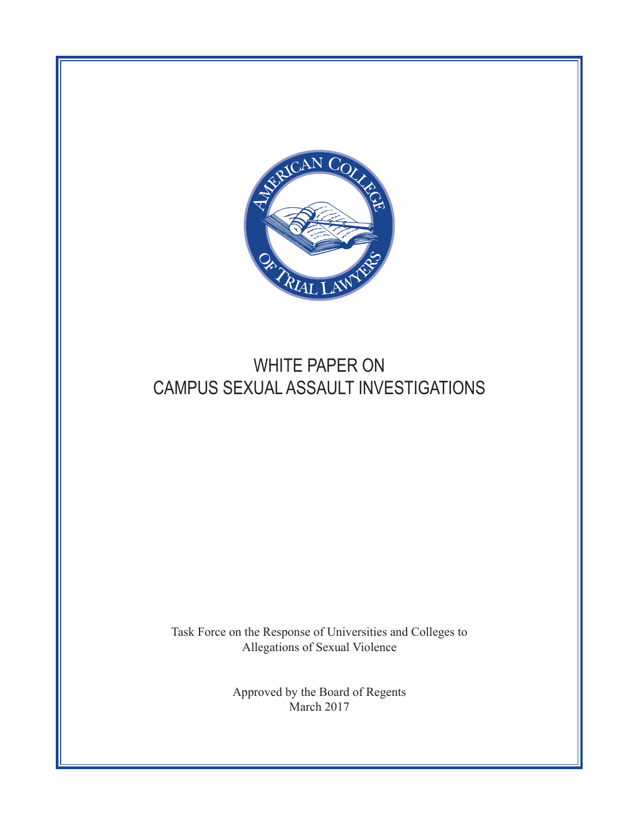

# WHITE PAPER ON CAMPUS SEXUAL ASSAULT INVESTIGATIONS

Task Force on the Response of Universities and Colleges to Allegations of Sexual Violence

> Approved by the Board of Regents March 2017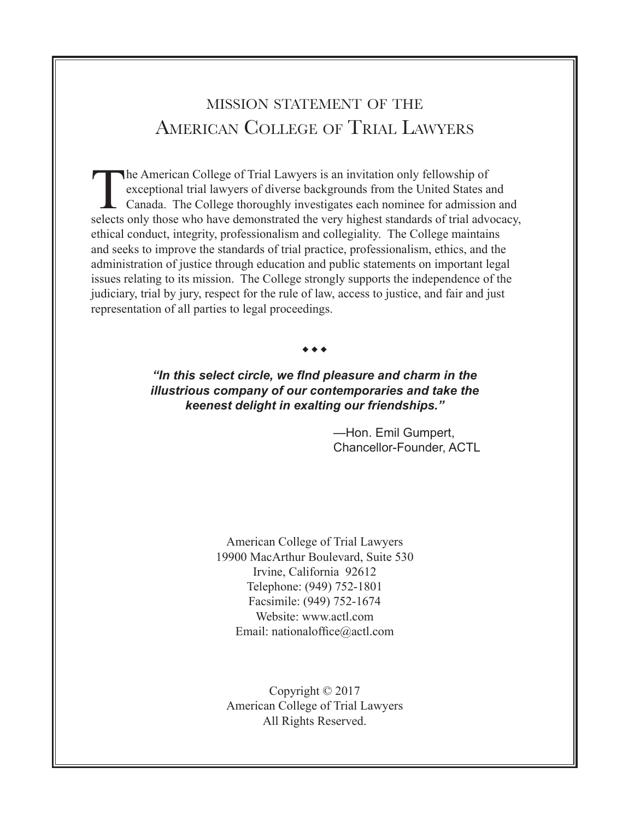# mission statement of the American College of Trial Lawyers

The American College of Trial Lawyers is an invitation only fellowship of exceptional trial lawyers of diverse backgrounds from the United States a Canada. The College thoroughly investigates each nominee for admission sel exceptional trial lawyers of diverse backgrounds from the United States and Canada. The College thoroughly investigates each nominee for admission and selects only those who have demonstrated the very highest standards of trial advocacy, ethical conduct, integrity, professionalism and collegiality. The College maintains and seeks to improve the standards of trial practice, professionalism, ethics, and the administration of justice through education and public statements on important legal issues relating to its mission. The College strongly supports the independence of the judiciary, trial by jury, respect for the rule of law, access to justice, and fair and just representation of all parties to legal proceedings.

#### $\bullet\bullet\bullet$

### *"In this select circle, we find pleasure and charm in the illustrious company of our contemporaries and take the keenest delight in exalting our friendships."*

—Hon. Emil Gumpert, Chancellor-Founder, ACTL

American College of Trial Lawyers 19900 MacArthur Boulevard, Suite 530 Irvine, California 92612 Telephone: (949) 752-1801 Facsimile: (949) 752-1674 Website: <www.actl.com> Email: [nationaloffice@actl.com](mailto:nationaloffice@actl.com)

Copyright © 2017 American College of Trial Lawyers All Rights Reserved.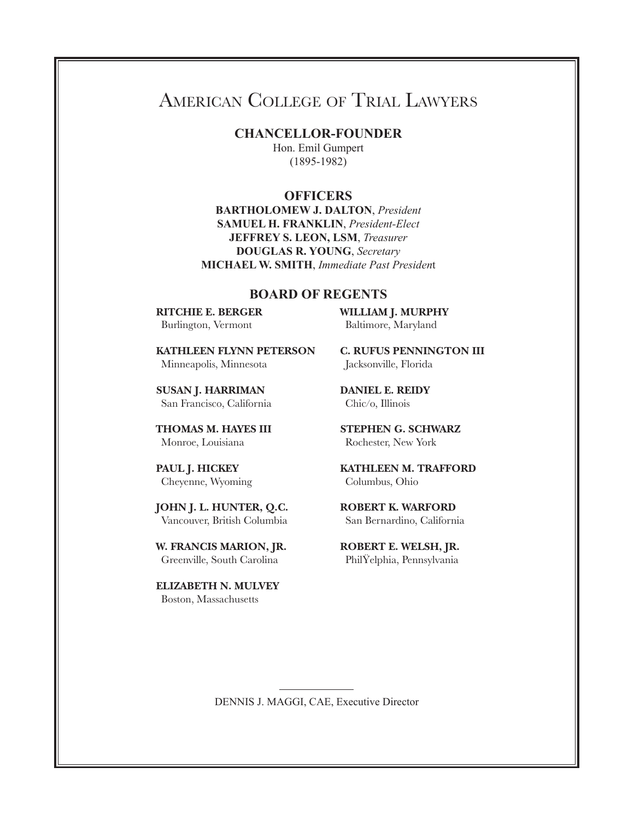# American College of Trial Lawyers

**CHANCELLOR-FOUNDER** Hon. Emil Gumpert

(1895-1982)

### **OFFICERS**

**BARTHOLOMEW J. DALTON**, *President* **SAMUEL H. FRANKLIN**, *President-Elect*  **JEFFREY S. LEON, LSM**, *Treasurer* **DOUGLAS R. YOUNG**, *Secretary* **MICHAEL W. SMITH**, *Immediate Past Presiden*t

#### **BOARD OF REGENTS**

**RITCHIE E. BERGER** Burlington, Vermont

**KATHLEEN FLYNN PETERSON** Minneapolis, Minnesota

**SUSAN J. HARRIMAN** San Francisco, California

**THOMAS M. HAYES III** Monroe, Louisiana

**PAUL J. HICKEY** Cheyenne, Wyoming

**JOHN J. L. HUNTER, Q.C.** Vancouver, British Columbia

**W. FRANCIS MARION, JR.** Greenville, South Carolina

**ELIZABETH N. MULVEY** Boston, Massachusetts

**WILLIAM J. MURPHY** Baltimore, Maryland

**C. RUFUS PENNINGTON III** Jacksonville, Florida

**DANIEL E. REIDY** Chic/o, Illinois

**STEPHEN G. SCHWARZ** Rochester, New York

**KATHLEEN M. TRAFFORD** Columbus, Ohio

**ROBERT K. WARFORD** San Bernardino, California

**ROBERT E. WELSH, JR.** PhilŸelphia, Pennsylvania

DENNIS J. MAGGI, CAE, Executive Director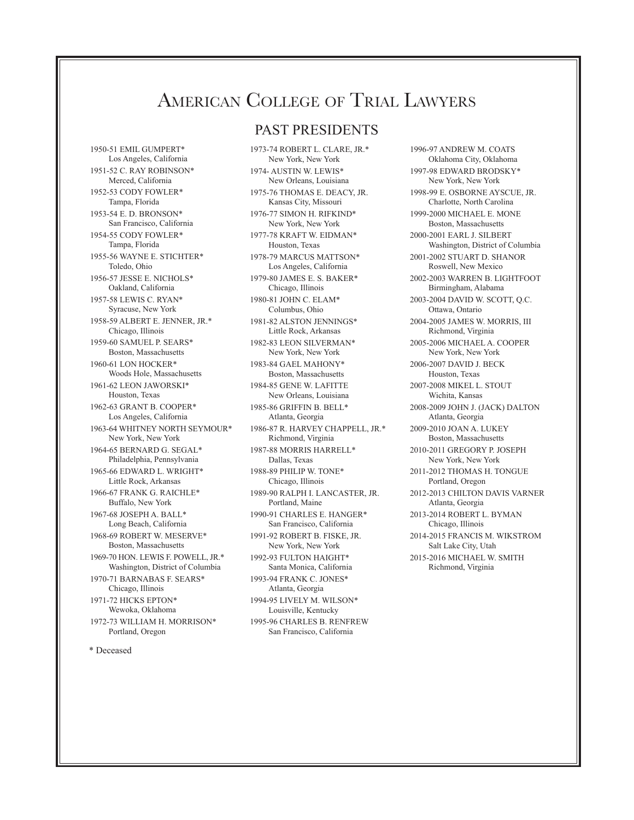# American College of Trial Lawyers

### PAST PRESIDENTS

1950-51 EMIL GUMPERT\* Los Angeles, California 1951-52 C. RAY ROBINSON\* Merced, California 1952-53 CODY FOWLER\* Tampa, Florida 1953-54 E. D. BRONSON\* San Francisco, California 1954-55 CODY FOWLER\* Tampa, Florida 1955-56 WAYNE E. STICHTER\* Toledo, Ohio 1956-57 JESSE E. NICHOLS\* Oakland, California 1957-58 LEWIS C. RYAN\* Syracuse, New York 1958-59 ALBERT E. JENNER, JR.\* Chicago, Illinois 1959-60 SAMUEL P. SEARS\* Boston, Massachusetts 1960-61 LON HOCKER\* Woods Hole, Massachusetts 1961-62 LEON JAWORSKI\* Houston, Texas 1962-63 GRANT B. COOPER\* Los Angeles, California 1963-64 WHITNEY NORTH SEYMOUR\* New York, New York 1964-65 BERNARD G. SEGAL\* Philadelphia, Pennsylvania 1965-66 EDWARD L. WRIGHT\* Little Rock, Arkansas 1966-67 FRANK G. RAICHLE\* Buffalo, New York 1967-68 JOSEPH A. BALL\* Long Beach, California 1968-69 ROBERT W. MESERVE\* Boston, Massachusetts 1969-70 HON. LEWIS F. POWELL, JR.\* Washington, District of Columbia 1970-71 BARNABAS F. SEARS\* Chicago, Illinois 1971-72 HICKS EPTON\* Wewoka, Oklahoma 1972-73 WILLIAM H. MORRISON\* Portland, Oregon

1973-74 ROBERT L. CLARE, JR.\* New York, New York 1974- AUSTIN W. LEWIS\* New Orleans, Louisiana 1975-76 THOMAS E. DEACY, JR. Kansas City, Missouri 1976-77 SIMON H. RIFKIND\* New York, New York 1977-78 KRAFT W. EIDMAN\* Houston, Texas 1978-79 MARCUS MATTSON\* Los Angeles, California 1979-80 JAMES E. S. BAKER\* Chicago, Illinois 1980-81 JOHN C. ELAM\* Columbus, Ohio 1981-82 ALSTON JENNINGS\* Little Rock, Arkansas 1982-83 LEON SILVERMAN\* New York, New York 1983-84 GAEL MAHONY\* Boston, Massachusetts 1984-85 GENE W. LAFITTE New Orleans, Louisiana 1985-86 GRIFFIN B. BELL\* Atlanta, Georgia 1986-87 R. HARVEY CHAPPELL, JR.\* Richmond, Virginia 1987-88 MORRIS HARRELL\* Dallas, Texas 1988-89 PHILIP W. TONE\* Chicago, Illinois 1989-90 RALPH I. LANCASTER, JR. Portland, Maine 1990-91 CHARLES E. HANGER\* San Francisco, California 1991-92 ROBERT B. FISKE, JR. New York, New York 1992-93 FULTON HAIGHT\* Santa Monica, California 1993-94 FRANK C. JONES\* Atlanta, Georgia 1994-95 LIVELY M. WILSON\* Louisville, Kentucky 1995-96 CHARLES B. RENFREW San Francisco, California

1996-97 ANDREW M. COATS Oklahoma City, Oklahoma 1997-98 EDWARD BRODSKY\* New York, New York 1998-99 E. OSBORNE AYSCUE, JR. Charlotte, North Carolina 1999-2000 MICHAEL E. MONE Boston, Massachusetts 2000-2001 EARL J. SILBERT Washington, District of Columbia 2001-2002 STUART D. SHANOR Roswell, New Mexico 2002-2003 WARREN B. LIGHTFOOT Birmingham, Alabama 2003-2004 DAVID W. SCOTT, Q.C. Ottawa, Ontario 2004-2005 JAMES W. MORRIS, III Richmond, Virginia 2005-2006 MICHAEL A. COOPER New York, New York 2006-2007 DAVID J. BECK Houston, Texas 2007-2008 MIKEL L. STOUT Wichita, Kansas 2008-2009 JOHN J. (JACK) DALTON Atlanta, Georgia 2009-2010 JOAN A. LUKEY Boston, Massachusetts 2010-2011 GREGORY P. JOSEPH New York, New York 2011-2012 THOMAS H. TONGUE Portland, Oregon 2012-2013 CHILTON DAVIS VARNER Atlanta, Georgia 2013-2014 ROBERT L. BYMAN Chicago, Illinois 2014-2015 FRANCIS M. WIKSTROM Salt Lake City, Utah 2015-2016 MICHAEL W. SMITH

Richmond, Virginia

\* Deceased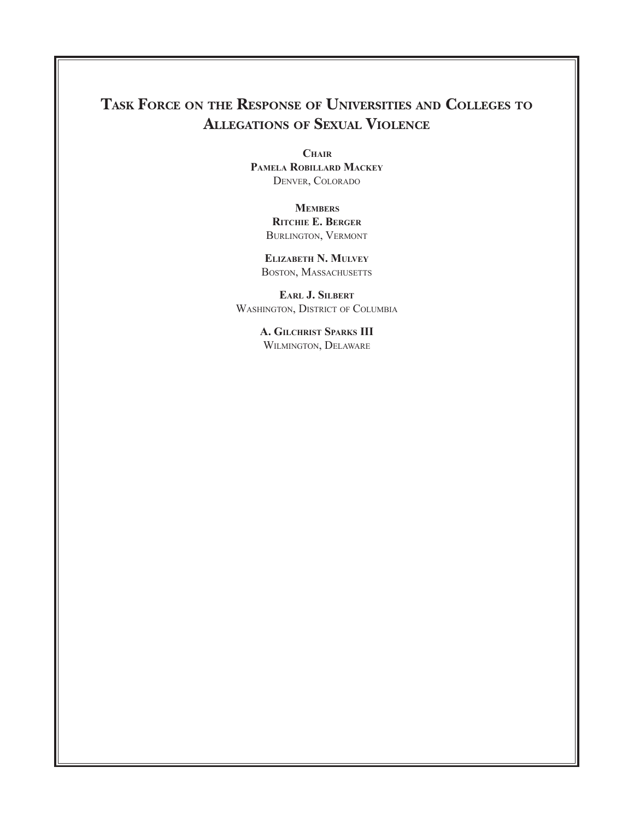## **Task Force on the Response of Universities and Colleges to Allegations of Sexual Violence**

**Chair Pamela Robillard Mackey** Denver, Colorado

> **Members Ritchie E. Berger** Burlington, Vermont

**Elizabeth N. Mulvey** BOSTON, MASSACHUSETTS

**Earl J. Silbert** Washington, District of Columbia

> **A. Gilchrist Sparks III** Wilmington, Delaware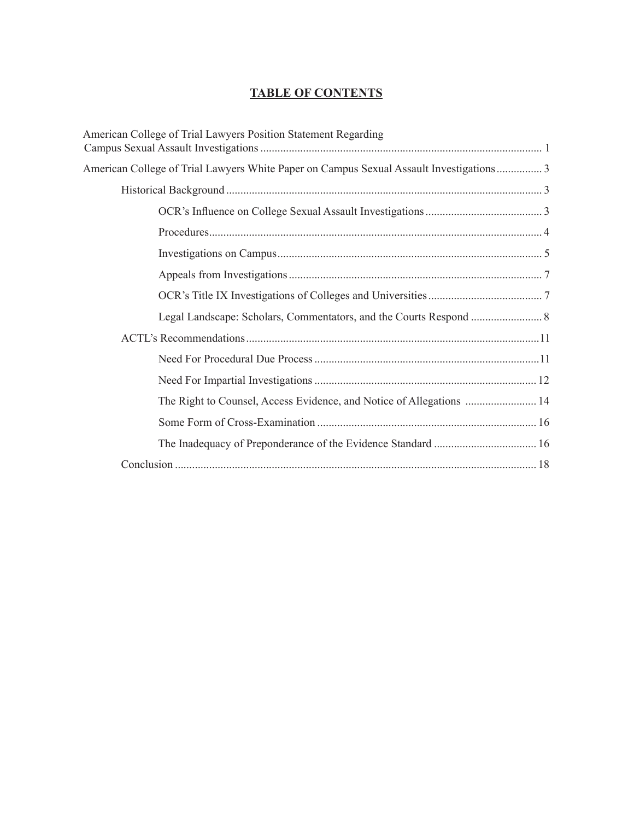### **TABLE OF CONTENTS**

| American College of Trial Lawyers Position Statement Regarding                          |  |
|-----------------------------------------------------------------------------------------|--|
| American College of Trial Lawyers White Paper on Campus Sexual Assault Investigations 3 |  |
|                                                                                         |  |
|                                                                                         |  |
|                                                                                         |  |
|                                                                                         |  |
|                                                                                         |  |
|                                                                                         |  |
|                                                                                         |  |
|                                                                                         |  |
|                                                                                         |  |
|                                                                                         |  |
|                                                                                         |  |
|                                                                                         |  |
|                                                                                         |  |
|                                                                                         |  |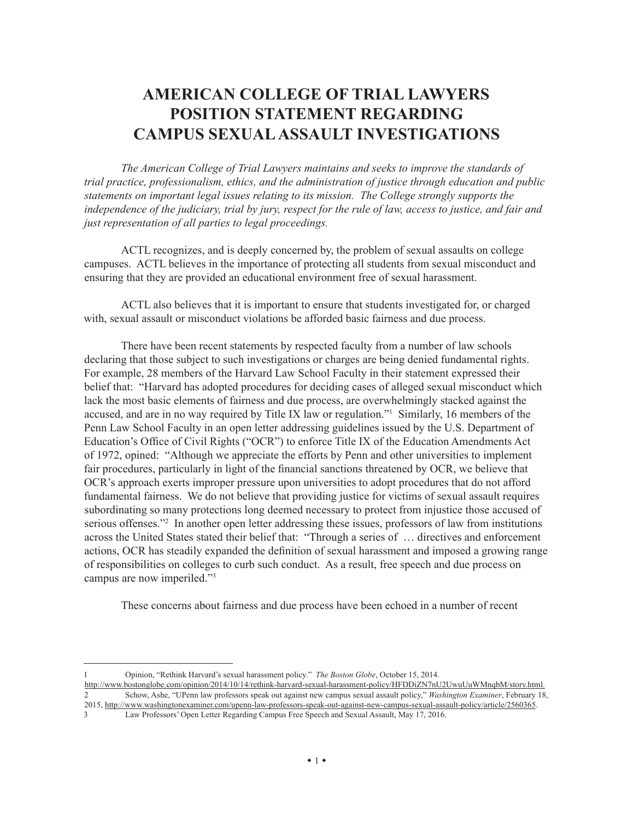## **AMERICAN COLLEGE OF TRIAL LAWYERS POSITION STATEMENT REGARDING CAMPUS SEXUAL ASSAULT INVESTIGATIONS**

*The American College of Trial Lawyers maintains and seeks to improve the standards of trial practice, professionalism, ethics, and the administration of justice through education and public statements on important legal issues relating to its mission. The College strongly supports the independence of the judiciary, trial by jury, respect for the rule of law, access to justice, and fair and just representation of all parties to legal proceedings.*

ACTL recognizes, and is deeply concerned by, the problem of sexual assaults on college campuses. ACTL believes in the importance of protecting all students from sexual misconduct and ensuring that they are provided an educational environment free of sexual harassment.

ACTL also believes that it is important to ensure that students investigated for, or charged with, sexual assault or misconduct violations be afforded basic fairness and due process.

There have been recent statements by respected faculty from a number of law schools declaring that those subject to such investigations or charges are being denied fundamental rights. For example, 28 members of the Harvard Law School Faculty in their statement expressed their belief that: "Harvard has adopted procedures for deciding cases of alleged sexual misconduct which lack the most basic elements of fairness and due process, are overwhelmingly stacked against the accused, and are in no way required by Title IX law or regulation."1 Similarly, 16 members of the Penn Law School Faculty in an open letter addressing guidelines issued by the U.S. Department of Education's Office of Civil Rights ("OCR") to enforce Title IX of the Education Amendments Act of 1972, opined: "Although we appreciate the efforts by Penn and other universities to implement fair procedures, particularly in light of the financial sanctions threatened by OCR, we believe that OCR's approach exerts improper pressure upon universities to adopt procedures that do not afford fundamental fairness. We do not believe that providing justice for victims of sexual assault requires subordinating so many protections long deemed necessary to protect from injustice those accused of serious offenses."<sup>2</sup> In another open letter addressing these issues, professors of law from institutions across the United States stated their belief that: "Through a series of … directives and enforcement actions, OCR has steadily expanded the definition of sexual harassment and imposed a growing range of responsibilities on colleges to curb such conduct. As a result, free speech and due process on campus are now imperiled."3

These concerns about fairness and due process have been echoed in a number of recent

3 Law Professors' Open Letter Regarding Campus Free Speech and Sexual Assault, May 17, 2016.

<sup>1</sup> Opinion, "Rethink Harvard's sexual harassment policy." *The Boston Globe*, October 15, 2014.

<http://www.bostonglobe.com/opinion/2014/10/14/rethink-harvard-sexual-harassment-policy/HFDDiZN7nU2UwuUuWMnqbM/story.html>.<br>2 Schow Ashe "UPenn law professors speak out against new campus sexual assault policy." Washington E 2 Schow, Ashe, "UPenn law professors speak out against new campus sexual assault policy," *Washington Examiner*, February 18, 2015, [http://www.washingtonexaminer.com/upenn-law-professors-speak-out-against-new-campus-sexual-assault-policy/article/2560365.](http://www.washingtonexaminer.com/upenn-law-professors-speak-out-against-new-campus-sexual-assault-policy/article/2560365)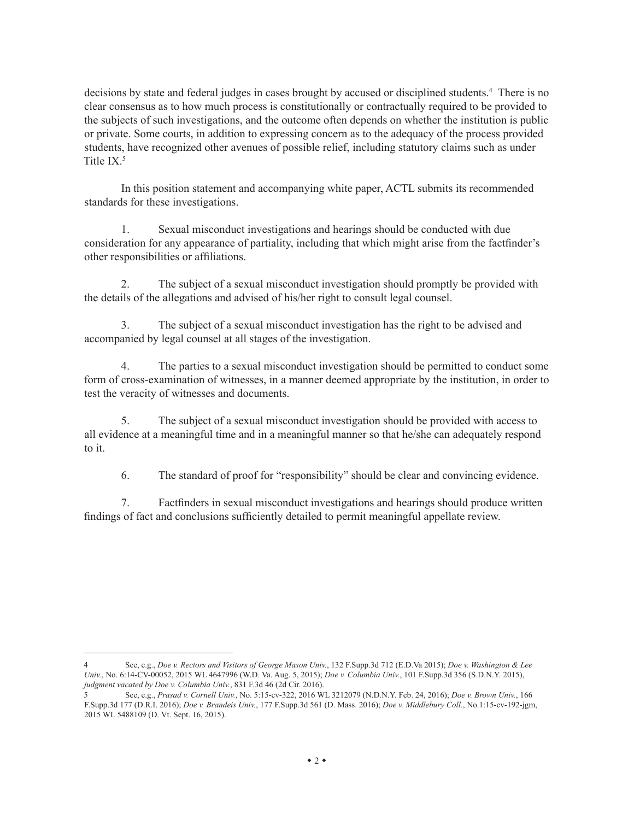decisions by state and federal judges in cases brought by accused or disciplined students.<sup>4</sup> There is no clear consensus as to how much process is constitutionally or contractually required to be provided to the subjects of such investigations, and the outcome often depends on whether the institution is public or private. Some courts, in addition to expressing concern as to the adequacy of the process provided students, have recognized other avenues of possible relief, including statutory claims such as under Title IX.5

In this position statement and accompanying white paper, ACTL submits its recommended standards for these investigations.

1. Sexual misconduct investigations and hearings should be conducted with due consideration for any appearance of partiality, including that which might arise from the factfinder's other responsibilities or affiliations.

2. The subject of a sexual misconduct investigation should promptly be provided with the details of the allegations and advised of his/her right to consult legal counsel.

3. The subject of a sexual misconduct investigation has the right to be advised and accompanied by legal counsel at all stages of the investigation.

4. The parties to a sexual misconduct investigation should be permitted to conduct some form of cross-examination of witnesses, in a manner deemed appropriate by the institution, in order to test the veracity of witnesses and documents.

5. The subject of a sexual misconduct investigation should be provided with access to all evidence at a meaningful time and in a meaningful manner so that he/she can adequately respond to it.

6. The standard of proof for "responsibility" should be clear and convincing evidence.

7. Factfinders in sexual misconduct investigations and hearings should produce written findings of fact and conclusions sufficiently detailed to permit meaningful appellate review.

<sup>4</sup> See, e.g., *Doe v. Rectors and Visitors of George Mason Univ.*, 132 <F.Supp>.3d 712 (<E.D.Va>2015); *Doe v. Washington & Lee Univ.*, No. 6:14-CV-00052, 2015 WL 4647996 (W.D. Va. Aug. 5, 2015); *Doe v. Columbia Univ.*, 101 [F.Supp.](F.Supp)3d 356 (S.D.N.Y. 2015), *judgment vacated by Doe v. Columbia Univ.*, 831 F.3d 46 (2d Cir. 2016).

<sup>5</sup> See, e.g., *Prasad v. Cornell Univ.*, No. 5:15-cv-322, 2016 WL 3212079 (N.D.N.Y. Feb. 24, 2016); *Doe v. Brown Univ.*, 166 [F.Supp.](F.Supp)3d 177 (D.R.I. 2016); *Doe v. Brandeis Univ.*, 177<F.Supp>.3d 561 (D. Mass. 2016); *Doe v. Middlebury Coll.*, No.1:15-cv-192-jgm, 2015 WL 5488109 (D. Vt. Sept. 16, 2015).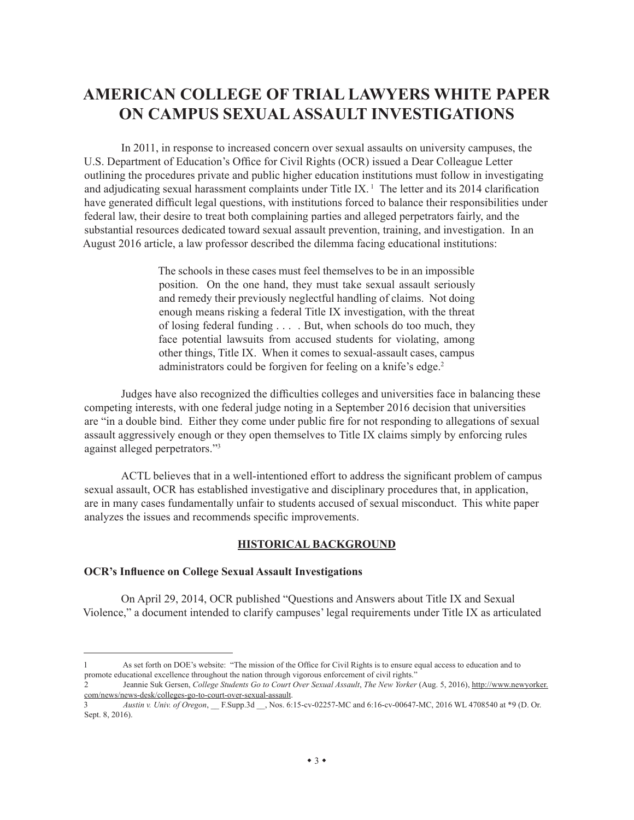## **AMERICAN COLLEGE OF TRIAL LAWYERS WHITE PAPER ON CAMPUS SEXUAL ASSAULT INVESTIGATIONS**

In 2011, in response to increased concern over sexual assaults on university campuses, the U.S. Department of Education's Office for Civil Rights (OCR) issued a Dear Colleague Letter outlining the procedures private and public higher education institutions must follow in investigating and adjudicating sexual harassment complaints under Title IX.<sup>1</sup> The letter and its 2014 clarification have generated difficult legal questions, with institutions forced to balance their responsibilities under federal law, their desire to treat both complaining parties and alleged perpetrators fairly, and the substantial resources dedicated toward sexual assault prevention, training, and investigation. In an August 2016 article, a law professor described the dilemma facing educational institutions:

> The schools in these cases must feel themselves to be in an impossible position. On the one hand, they must take sexual assault seriously and remedy their previously neglectful handling of claims. Not doing enough means risking a federal Title IX investigation, with the threat of losing federal funding . . . . But, when schools do too much, they face potential lawsuits from accused students for violating, among other things, Title IX. When it comes to sexual-assault cases, campus administrators could be forgiven for feeling on a knife's edge.<sup>2</sup>

Judges have also recognized the difficulties colleges and universities face in balancing these competing interests, with one federal judge noting in a September 2016 decision that universities are "in a double bind. Either they come under public fire for not responding to allegations of sexual assault aggressively enough or they open themselves to Title IX claims simply by enforcing rules against alleged perpetrators."3

ACTL believes that in a well-intentioned effort to address the significant problem of campus sexual assault, OCR has established investigative and disciplinary procedures that, in application, are in many cases fundamentally unfair to students accused of sexual misconduct. This white paper analyzes the issues and recommends specific improvements.

#### **HISTORICAL BACKGROUND**

#### **OCR's Influence on College Sexual Assault Investigations**

On April 29, 2014, OCR published "Questions and Answers about Title IX and Sexual Violence," a document intended to clarify campuses' legal requirements under Title IX as articulated

<sup>1</sup> As set forth on DOE's website: "The mission of the Office for Civil Rights is to ensure equal access to education and to promote educational excellence throughout the nation through vigorous enforcement of civil rights."

<sup>2</sup> Jeannie Suk Gersen, *College Students Go to Court Over Sexual Assault*, *The New Yorker* (Aug. 5, 2016), [http://www.newyorker.](http://www.newyorker.com/news/news-desk/colleges-go-to-court-over-sexual-assault) [com/news/news-desk/colleges-go-to-court-over-sexual-assault](http://www.newyorker.com/news/news-desk/colleges-go-to-court-over-sexual-assault).

<sup>3</sup> *Austin v. Univ. of Oregon*, \_\_ [F.Supp.](F.Supp)3d \_\_, Nos. 6:15-cv-02257-MC and 6:16-cv-00647-MC, 2016 WL 4708540 at \*9 (D. Or. Sept. 8, 2016).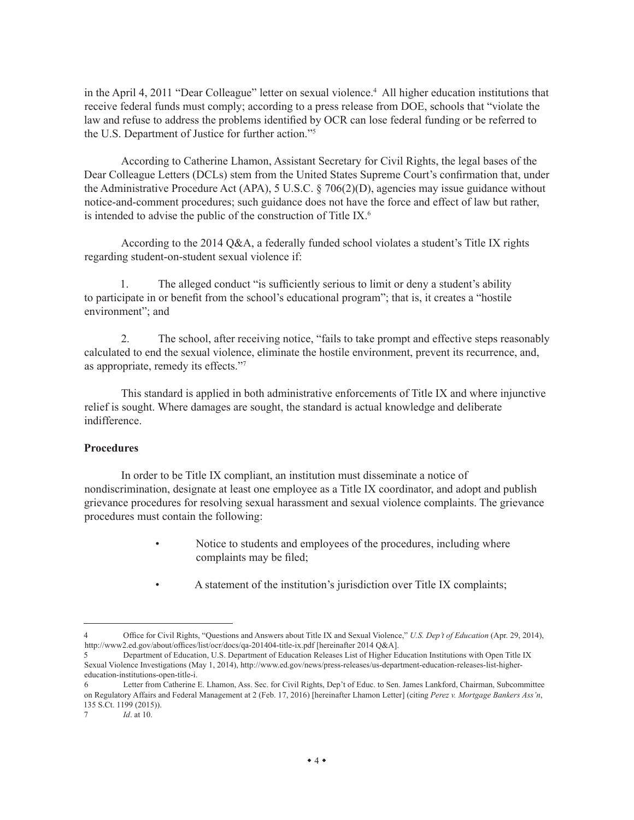in the April 4, 2011 "Dear Colleague" letter on sexual violence.<sup>4</sup> All higher education institutions that receive federal funds must comply; according to a press release from DOE, schools that "violate the law and refuse to address the problems identified by OCR can lose federal funding or be referred to the U.S. Department of Justice for further action."5

According to Catherine Lhamon, Assistant Secretary for Civil Rights, the legal bases of the Dear Colleague Letters (DCLs) stem from the United States Supreme Court's confirmation that, under the Administrative Procedure Act (APA), 5 U.S.C.  $\S$  706(2)(D), agencies may issue guidance without notice-and-comment procedures; such guidance does not have the force and effect of law but rather, is intended to advise the public of the construction of Title IX.<sup>6</sup>

According to the 2014 Q&A, a federally funded school violates a student's Title IX rights regarding student-on-student sexual violence if:

1. The alleged conduct "is sufficiently serious to limit or deny a student's ability to participate in or benefit from the school's educational program"; that is, it creates a "hostile environment"; and

2. The school, after receiving notice, "fails to take prompt and effective steps reasonably calculated to end the sexual violence, eliminate the hostile environment, prevent its recurrence, and, as appropriate, remedy its effects."7

This standard is applied in both administrative enforcements of Title IX and where injunctive relief is sought. Where damages are sought, the standard is actual knowledge and deliberate indifference.

#### **Procedures**

In order to be Title IX compliant, an institution must disseminate a notice of nondiscrimination, designate at least one employee as a Title IX coordinator, and adopt and publish grievance procedures for resolving sexual harassment and sexual violence complaints. The grievance procedures must contain the following:

- Notice to students and employees of the procedures, including where complaints may be filed;
- A statement of the institution's jurisdiction over Title IX complaints;

<sup>4</sup> Office for Civil Rights, "Questions and Answers about Title IX and Sexual Violence," *U.S. Dep't of Education* (Apr. 29, 2014), <http://www2.ed.gov/about/offices/list/ocr/docs/qa-201404-title-ix.pdf>[hereinafter 2014 Q&A].

<sup>5</sup> Department of Education, U.S. Department of Education Releases List of Higher Education Institutions with Open Title IX Sexual Violence Investigations (May 1, 2014),<http://www.ed.gov/news/press-releases/us>-department-education-releases-list-highereducation-institutions-open-title-i.

<sup>6</sup> Letter from Catherine E. Lhamon, Ass. Sec. for Civil Rights, Dep't of Educ. to Sen. James Lankford, Chairman, Subcommittee on Regulatory Affairs and Federal Management at 2 (Feb. 17, 2016) [hereinafter Lhamon Letter] (citing *Perez v. Mortgage Bankers Ass'n*, 135 [S.Ct.](S.Ct) 1199 (2015)).

<sup>7</sup> *Id*. at 10.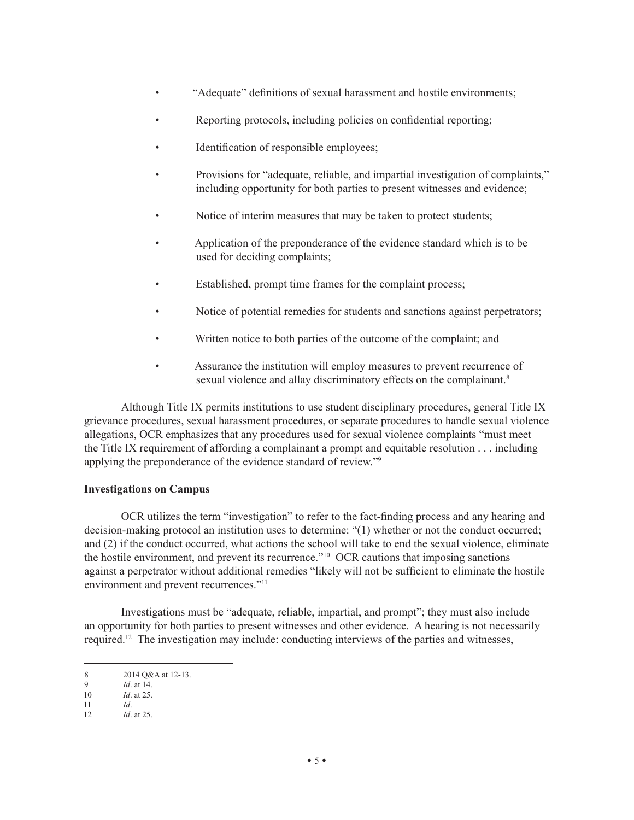- "Adequate" definitions of sexual harassment and hostile environments;
- Reporting protocols, including policies on confidential reporting;
- Identification of responsible employees;
- Provisions for "adequate, reliable, and impartial investigation of complaints," including opportunity for both parties to present witnesses and evidence;
- Notice of interim measures that may be taken to protect students;
- Application of the preponderance of the evidence standard which is to be used for deciding complaints;
- Established, prompt time frames for the complaint process;
- Notice of potential remedies for students and sanctions against perpetrators;
- Written notice to both parties of the outcome of the complaint; and
- Assurance the institution will employ measures to prevent recurrence of sexual violence and allay discriminatory effects on the complainant.<sup>8</sup>

Although Title IX permits institutions to use student disciplinary procedures, general Title IX grievance procedures, sexual harassment procedures, or separate procedures to handle sexual violence allegations, OCR emphasizes that any procedures used for sexual violence complaints "must meet the Title IX requirement of affording a complainant a prompt and equitable resolution . . . including applying the preponderance of the evidence standard of review."9

#### **Investigations on Campus**

OCR utilizes the term "investigation" to refer to the fact-finding process and any hearing and decision-making protocol an institution uses to determine: "(1) whether or not the conduct occurred; and (2) if the conduct occurred, what actions the school will take to end the sexual violence, eliminate the hostile environment, and prevent its recurrence."10 OCR cautions that imposing sanctions against a perpetrator without additional remedies "likely will not be sufficient to eliminate the hostile environment and prevent recurrences."11

Investigations must be "adequate, reliable, impartial, and prompt"; they must also include an opportunity for both parties to present witnesses and other evidence. A hearing is not necessarily required.12 The investigation may include: conducting interviews of the parties and witnesses,

<sup>8 2014</sup> Q&A at 12-13.<br>9 *Id* at 14

<sup>9</sup> *Id*. at 14.

<sup>10</sup> *Id*. at 25. 11 *Id*.

<sup>12</sup> *Id*. at 25.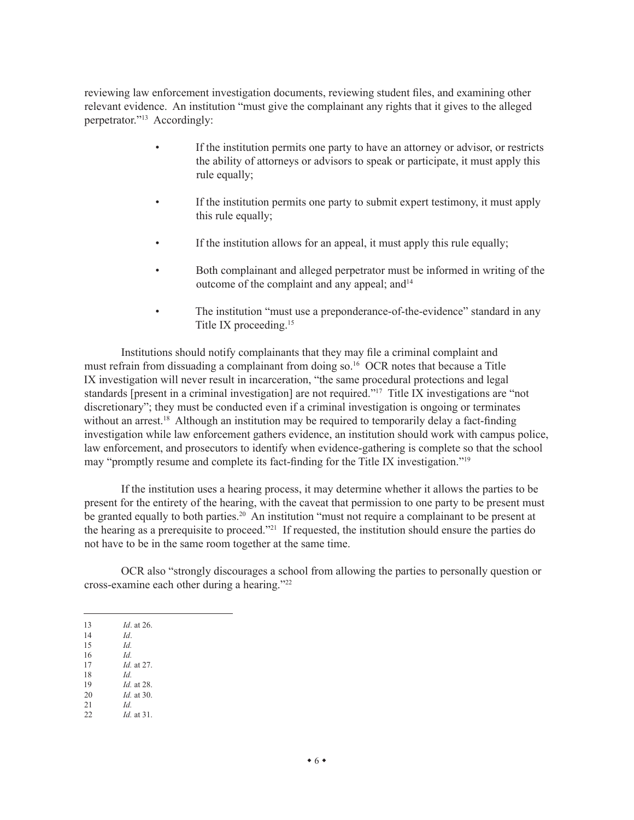reviewing law enforcement investigation documents, reviewing student files, and examining other relevant evidence. An institution "must give the complainant any rights that it gives to the alleged perpetrator."13 Accordingly:

- If the institution permits one party to have an attorney or advisor, or restricts the ability of attorneys or advisors to speak or participate, it must apply this rule equally;
- If the institution permits one party to submit expert testimony, it must apply this rule equally;
- If the institution allows for an appeal, it must apply this rule equally;
- Both complainant and alleged perpetrator must be informed in writing of the outcome of the complaint and any appeal; and $14$
- The institution "must use a preponderance-of-the-evidence" standard in any Title IX proceeding.15

Institutions should notify complainants that they may file a criminal complaint and must refrain from dissuading a complainant from doing so.16 OCR notes that because a Title IX investigation will never result in incarceration, "the same procedural protections and legal standards [present in a criminal investigation] are not required."<sup>17</sup> Title IX investigations are "not discretionary"; they must be conducted even if a criminal investigation is ongoing or terminates without an arrest.<sup>18</sup> Although an institution may be required to temporarily delay a fact-finding investigation while law enforcement gathers evidence, an institution should work with campus police, law enforcement, and prosecutors to identify when evidence-gathering is complete so that the school may "promptly resume and complete its fact-finding for the Title IX investigation."19

If the institution uses a hearing process, it may determine whether it allows the parties to be present for the entirety of the hearing, with the caveat that permission to one party to be present must be granted equally to both parties.<sup>20</sup> An institution "must not require a complainant to be present at the hearing as a prerequisite to proceed."21 If requested, the institution should ensure the parties do not have to be in the same room together at the same time.

OCR also "strongly discourages a school from allowing the parties to personally question or cross-examine each other during a hearing."22

| 13 | <i>Id.</i> at 26. |
|----|-------------------|
|    |                   |

- 14 *Id*. 15 *Id.*
- 
- 16 *Id. Id.* at 27.
- 18 *Id.*
- 19 *Id.* at 28.<br>20 *Id.* at 30. *Id.* at 30.
- 21 *Id.*
- 22 *Id.* at 31.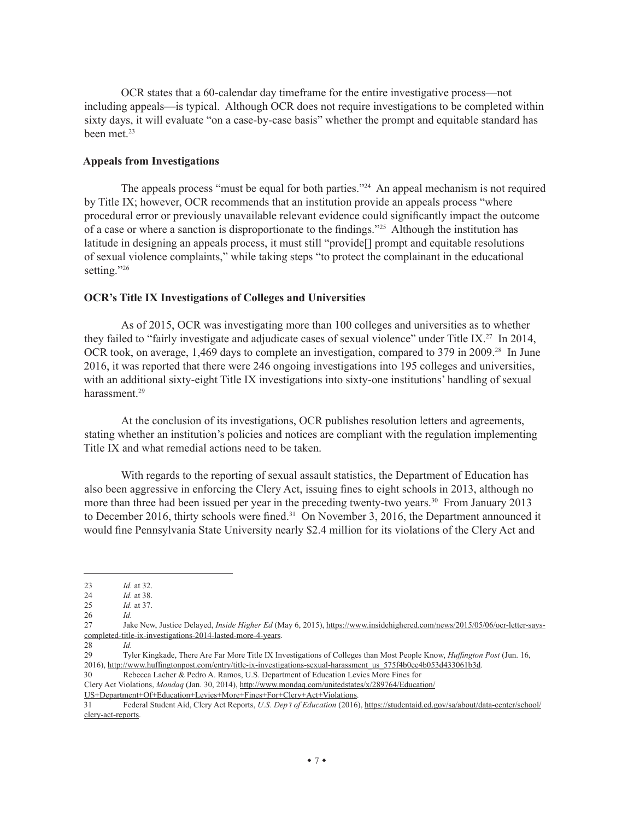OCR states that a 60-calendar day timeframe for the entire investigative process—not including appeals—is typical. Although OCR does not require investigations to be completed within sixty days, it will evaluate "on a case-by-case basis" whether the prompt and equitable standard has been met.<sup>23</sup>

#### **Appeals from Investigations**

The appeals process "must be equal for both parties."<sup>24</sup> An appeal mechanism is not required by Title IX; however, OCR recommends that an institution provide an appeals process "where procedural error or previously unavailable relevant evidence could significantly impact the outcome of a case or where a sanction is disproportionate to the findings."25 Although the institution has latitude in designing an appeals process, it must still "provide[] prompt and equitable resolutions of sexual violence complaints," while taking steps "to protect the complainant in the educational setting."26

#### **OCR's Title IX Investigations of Colleges and Universities**

As of 2015, OCR was investigating more than 100 colleges and universities as to whether they failed to "fairly investigate and adjudicate cases of sexual violence" under Title IX.<sup>27</sup> In 2014, OCR took, on average, 1,469 days to complete an investigation, compared to 379 in 2009.<sup>28</sup> In June 2016, it was reported that there were 246 ongoing investigations into 195 colleges and universities, with an additional sixty-eight Title IX investigations into sixty-one institutions' handling of sexual harassment.<sup>29</sup>

At the conclusion of its investigations, OCR publishes resolution letters and agreements, stating whether an institution's policies and notices are compliant with the regulation implementing Title IX and what remedial actions need to be taken.

With regards to the reporting of sexual assault statistics, the Department of Education has also been aggressive in enforcing the Clery Act, issuing fines to eight schools in 2013, although no more than three had been issued per year in the preceding twenty-two years.<sup>30</sup> From January 2013 to December 2016, thirty schools were fined.<sup>31</sup> On November 3, 2016, the Department announced it would fine Pennsylvania State University nearly \$2.4 million for its violations of the Clery Act and

<sup>23</sup> *Id.* at 32.

<sup>24</sup> *Id.* at 38.<br>25 *Id.* at 37. *Id.* at 37.

<sup>26</sup> *Id.* 

<sup>27</sup> Jake New, Justice Delayed, *Inside Higher Ed* (May 6, 2015), [https://www.insidehighered.com/news/2015/05/06/ocr-letter-says](https://www.insidehighered.com/news/2015/05/06/ocr-letter-says-completed-title-ix-investigations-2014-lasted-more-4-years)[completed-title-ix-investigations-2014-lasted-more-4-years](https://www.insidehighered.com/news/2015/05/06/ocr-letter-says-completed-title-ix-investigations-2014-lasted-more-4-years).

<sup>28</sup> *Id.*  29 Tyler Kingkade, There Are Far More Title IX Investigations of Colleges than Most People Know, *Huffington Post* (Jun. 16, 2016), [http://www.huffingtonpost.com/entry/title-ix-investigations-sexual-harassment\\_us\\_575f4b0ee4b053d433061b3d](http://www.huffingtonpost.com/entry/title-ix-investigations-sexual-harassment_us_575f4b0ee4b053d433061b3d).

<sup>30</sup> Rebecca Lacher & Pedro A. Ramos, U.S. Department of Education Levies More Fines for Clery Act Violations, *Mondaq* (Jan. 30, 2014), [http://www.mondaq.com/unitedstates/x/289764/Education/](http://www.mondaq.com/unitedstates/x/289764/Education/US+Department+Of+Education+Levies+More+Fines+For+Clery+Act+Violations)

[US+Department+Of+Education+Levies+More+Fines+For+Clery+Act+Violations.](http://www.mondaq.com/unitedstates/x/289764/Education/US+Department+Of+Education+Levies+More+Fines+For+Clery+Act+Violations)

<sup>31</sup> Federal Student Aid, Clery Act Reports, *U.S. Dep't of Education* (2016), [https://studentaid.ed.gov/sa/about/data-center/school/](https://studentaid.ed.gov/sa/about/data-center/school/clery-act-reports) [clery-act-reports](https://studentaid.ed.gov/sa/about/data-center/school/clery-act-reports).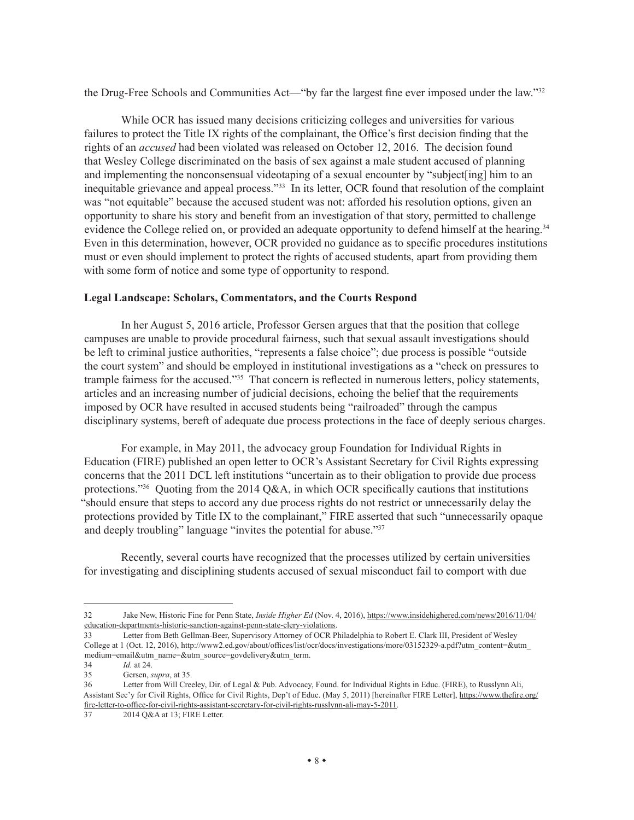the Drug-Free Schools and Communities Act—"by far the largest fine ever imposed under the law."32

While OCR has issued many decisions criticizing colleges and universities for various failures to protect the Title IX rights of the complainant, the Office's first decision finding that the rights of an *accused* had been violated was released on October 12, 2016. The decision found that Wesley College discriminated on the basis of sex against a male student accused of planning and implementing the nonconsensual videotaping of a sexual encounter by "subject[ing] him to an inequitable grievance and appeal process."33 In its letter, OCR found that resolution of the complaint was "not equitable" because the accused student was not: afforded his resolution options, given an opportunity to share his story and benefit from an investigation of that story, permitted to challenge evidence the College relied on, or provided an adequate opportunity to defend himself at the hearing.<sup>34</sup> Even in this determination, however, OCR provided no guidance as to specific procedures institutions must or even should implement to protect the rights of accused students, apart from providing them with some form of notice and some type of opportunity to respond.

#### **Legal Landscape: Scholars, Commentators, and the Courts Respond**

In her August 5, 2016 article, Professor Gersen argues that that the position that college campuses are unable to provide procedural fairness, such that sexual assault investigations should be left to criminal justice authorities, "represents a false choice"; due process is possible "outside the court system" and should be employed in institutional investigations as a "check on pressures to trample fairness for the accused."<sup>35</sup> That concern is reflected in numerous letters, policy statements, articles and an increasing number of judicial decisions, echoing the belief that the requirements imposed by OCR have resulted in accused students being "railroaded" through the campus disciplinary systems, bereft of adequate due process protections in the face of deeply serious charges.

For example, in May 2011, the advocacy group Foundation for Individual Rights in Education (FIRE) published an open letter to OCR's Assistant Secretary for Civil Rights expressing concerns that the 2011 DCL left institutions "uncertain as to their obligation to provide due process protections."<sup>36</sup> Quoting from the 2014 Q&A, in which OCR specifically cautions that institutions "should ensure that steps to accord any due process rights do not restrict or unnecessarily delay the protections provided by Title IX to the complainant," FIRE asserted that such "unnecessarily opaque and deeply troubling" language "invites the potential for abuse."37

Recently, several courts have recognized that the processes utilized by certain universities for investigating and disciplining students accused of sexual misconduct fail to comport with due

<sup>32</sup> Jake New, Historic Fine for Penn State, *Inside Higher Ed* (Nov. 4, 2016), [https://www.insidehighered.com/news/2016/11/04/](https://www.insidehighered.com/news/2016/11/04/education-departments-historic-sanction-against-penn-state-clery-violations) [education-departments-historic-sanction-against-penn-state-clery-violations.](https://www.insidehighered.com/news/2016/11/04/education-departments-historic-sanction-against-penn-state-clery-violations)

<sup>33</sup> Letter from Beth Gellman-Beer, Supervisory Attorney of OCR Philadelphia to Robert E. Clark III, President of Wesley College at 1 (Oct. 12, 2016), [http://www2.ed.gov/about/offices/list/ocr/docs/investigations/more/03152329-a.pdf?utm\\_content=&utm\\_](http://www2.ed.gov/about/offices/list/ocr/docs/investigations/more/03152329-a.pdf?utm_content=&utm_medium=email&utm_name=&utm_source=govdelivery&utm_term) [medium=email&utm\\_name=&utm\\_source=govdelivery&utm\\_term](http://www2.ed.gov/about/offices/list/ocr/docs/investigations/more/03152329-a.pdf?utm_content=&utm_medium=email&utm_name=&utm_source=govdelivery&utm_term).

<sup>34</sup> *Id.* at 24.

<sup>35</sup> Gersen, *supra*, at 35.

<sup>36</sup> Letter from Will Creeley, Dir. of Legal & Pub. Advocacy, Found. for Individual Rights in Educ. (FIRE), to Russlynn Ali, Assistant Sec'y for Civil Rights, Office for Civil Rights, Dep't of Educ. (May 5, 2011) [hereinafter FIRE Letter], [https://www.thefire.org/](https://www.thefire.org/fire-letter-to-office-for-civil-rights-assistant-secretary-for-civil-rights-russlynn-ali-may-5-2011) [fire-letter-to-office-for-civil-rights-assistant-secretary-for-civil-rights-russlynn-ali-may-5-2011](https://www.thefire.org/fire-letter-to-office-for-civil-rights-assistant-secretary-for-civil-rights-russlynn-ali-may-5-2011).

<sup>37 2014</sup> Q&A at 13; FIRE Letter.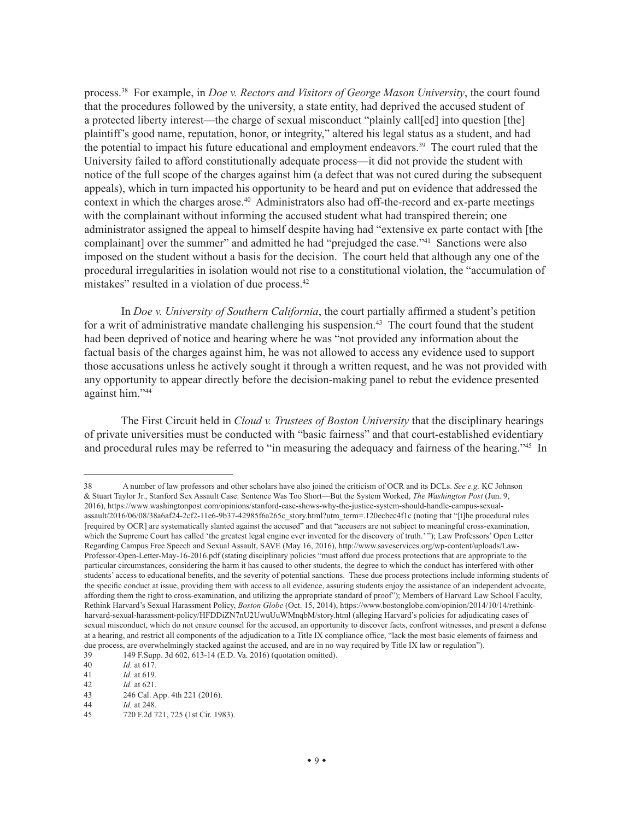process.38 For example, in *Doe v. Rectors and Visitors of George Mason University*, the court found that the procedures followed by the university, a state entity, had deprived the accused student of a protected liberty interest—the charge of sexual misconduct "plainly call[ed] into question [the] plaintiff's good name, reputation, honor, or integrity," altered his legal status as a student, and had the potential to impact his future educational and employment endeavors.39 The court ruled that the University failed to afford constitutionally adequate process—it did not provide the student with notice of the full scope of the charges against him (a defect that was not cured during the subsequent appeals), which in turn impacted his opportunity to be heard and put on evidence that addressed the context in which the charges arose.<sup>40</sup> Administrators also had off-the-record and ex-parte meetings with the complainant without informing the accused student what had transpired therein; one administrator assigned the appeal to himself despite having had "extensive ex parte contact with [the complainant] over the summer" and admitted he had "prejudged the case."<sup>41</sup> Sanctions were also imposed on the student without a basis for the decision. The court held that although any one of the procedural irregularities in isolation would not rise to a constitutional violation, the "accumulation of mistakes" resulted in a violation of due process.<sup>42</sup>

In *Doe v. University of Southern California*, the court partially affirmed a student's petition for a writ of administrative mandate challenging his suspension.<sup>43</sup> The court found that the student had been deprived of notice and hearing where he was "not provided any information about the factual basis of the charges against him, he was not allowed to access any evidence used to support those accusations unless he actively sought it through a written request, and he was not provided with any opportunity to appear directly before the decision-making panel to rebut the evidence presented against him."44

The First Circuit held in *Cloud v. Trustees of Boston University* that the disciplinary hearings of private universities must be conducted with "basic fairness" and that court-established evidentiary and procedural rules may be referred to "in measuring the adequacy and fairness of the hearing."<sup>45</sup> In

<sup>38</sup> A number of law professors and other scholars have also joined the criticism of OCR and its DCLs. *See e.g.* KC Johnson & Stuart Taylor Jr., Stanford Sex Assault Case: Sentence Was Too Short—But the System Worked, *The Washington Post* (Jun. 9, 2016), [https://www.washingtonpost.com/opinions/stanford-case-shows-why-the-justice-system-should-handle-campus-sexual](https://www.washingtonpost.com/opinions/stanford-case-shows-why-the-justice-system-should-handle-campus-sexual-assault/2016/06/08/38a6af24-2cf2-11e6-9b37-42985f6a265c_story.html?utm_term=.120ecbec4f1c)[assault/2016/06/08/38a6af24-2cf2-11e6-9b37-42985f6a265c\\_story.html?utm\\_term=.120ecbec4f1c](https://www.washingtonpost.com/opinions/stanford-case-shows-why-the-justice-system-should-handle-campus-sexual-assault/2016/06/08/38a6af24-2cf2-11e6-9b37-42985f6a265c_story.html?utm_term=.120ecbec4f1c) (noting that "[t]he procedural rules [required by OCR] are systematically slanted against the accused" and that "accusers are not subject to meaningful cross-examination, which the Supreme Court has called 'the greatest legal engine ever invented for the discovery of truth.' "); Law Professors' Open Letter Regarding Campus Free Speech and Sexual Assault, SAVE (May 16, 2016), [http://www.saveservices.org/wp-content/uploads/Law-](http://www.saveservices.org/wp-content/uploads/Law-Professor-Open-Letter-May-16-2016.pdf)[Professor-Open-Letter-May-16-2016.pdf](http://www.saveservices.org/wp-content/uploads/Law-Professor-Open-Letter-May-16-2016.pdf) (stating disciplinary policies "must afford due process protections that are appropriate to the particular circumstances, considering the harm it has caused to other students, the degree to which the conduct has interfered with other students' access to educational benefits, and the severity of potential sanctions. These due process protections include informing students of the specific conduct at issue, providing them with access to all evidence, assuring students enjoy the assistance of an independent advocate, affording them the right to cross-examination, and utilizing the appropriate standard of proof"); Members of Harvard Law School Faculty, Rethink Harvard's Sexual Harassment Policy, *Boston Globe* (Oct. 15, 2014), [https://www.bostonglobe.com/opinion/2014/10/14/rethink](https://www.bostonglobe.com/opinion/2014/10/14/rethink-harvard-sexual-harassment-policy/HFDDiZN7nU2UwuUuWMnqbM/story.html)[harvard-sexual-harassment-policy/HFDDiZN7nU2UwuUuWMnqbM/story.html](https://www.bostonglobe.com/opinion/2014/10/14/rethink-harvard-sexual-harassment-policy/HFDDiZN7nU2UwuUuWMnqbM/story.html) (alleging Harvard's policies for adjudicating cases of sexual misconduct, which do not ensure counsel for the accused, an opportunity to discover facts, confront witnesses, and present a defense at a hearing, and restrict all components of the adjudication to a Title IX compliance office, "lack the most basic elements of fairness and due process, are overwhelmingly stacked against the accused, and are in no way required by Title IX law or regulation").

<sup>39 149</sup><F.Supp>. 3d  $602$ ,  $613-14$  (E.D. Va. 2016) (quotation omitted).<br>40 *Id.* at 617.

*Id.* at 617.

<sup>41</sup> *Id.* at 619.

<sup>42</sup> *Id.* at 621.

<sup>246</sup> Cal. App. 4th 221 (2016).

<sup>44</sup> *Id.* at 248.

<sup>45 720</sup> F.2d 721, 725 (1st Cir. 1983).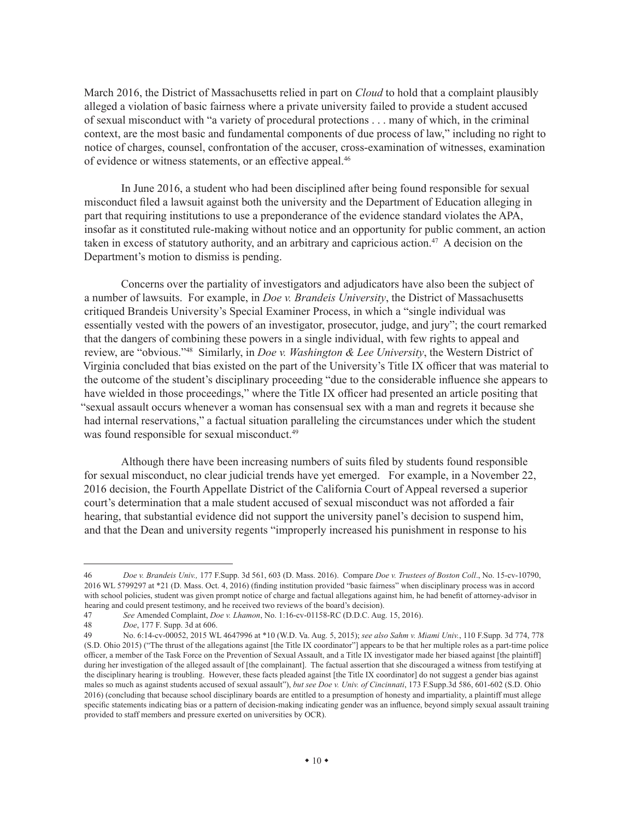March 2016, the District of Massachusetts relied in part on *Cloud* to hold that a complaint plausibly alleged a violation of basic fairness where a private university failed to provide a student accused of sexual misconduct with "a variety of procedural protections . . . many of which, in the criminal context, are the most basic and fundamental components of due process of law," including no right to notice of charges, counsel, confrontation of the accuser, cross-examination of witnesses, examination of evidence or witness statements, or an effective appeal.46

In June 2016, a student who had been disciplined after being found responsible for sexual misconduct filed a lawsuit against both the university and the Department of Education alleging in part that requiring institutions to use a preponderance of the evidence standard violates the APA, insofar as it constituted rule-making without notice and an opportunity for public comment, an action taken in excess of statutory authority, and an arbitrary and capricious action.<sup>47</sup> A decision on the Department's motion to dismiss is pending.

Concerns over the partiality of investigators and adjudicators have also been the subject of a number of lawsuits. For example, in *Doe v. Brandeis University*, the District of Massachusetts critiqued Brandeis University's Special Examiner Process, in which a "single individual was essentially vested with the powers of an investigator, prosecutor, judge, and jury"; the court remarked that the dangers of combining these powers in a single individual, with few rights to appeal and review, are "obvious."48 Similarly, in *Doe v. Washington & Lee University*, the Western District of Virginia concluded that bias existed on the part of the University's Title IX officer that was material to the outcome of the student's disciplinary proceeding "due to the considerable influence she appears to have wielded in those proceedings," where the Title IX officer had presented an article positing that "sexual assault occurs whenever a woman has consensual sex with a man and regrets it because she had internal reservations," a factual situation paralleling the circumstances under which the student was found responsible for sexual misconduct.<sup>49</sup>

Although there have been increasing numbers of suits filed by students found responsible for sexual misconduct, no clear judicial trends have yet emerged. For example, in a November 22, 2016 decision, the Fourth Appellate District of the California Court of Appeal reversed a superior court's determination that a male student accused of sexual misconduct was not afforded a fair hearing, that substantial evidence did not support the university panel's decision to suspend him, and that the Dean and university regents "improperly increased his punishment in response to his

<sup>46</sup> *Doe v. Brandeis Univ.,* 177<F.Supp>. 3d 561, 603 (D. Mass. 2016). Compare *Doe v. Trustees of Boston Coll*., No. 15-cv-10790, 2016 WL 5799297 at \*21 (D. Mass. Oct. 4, 2016) (finding institution provided "basic fairness" when disciplinary process was in accord with school policies, student was given prompt notice of charge and factual allegations against him, he had benefit of attorney-advisor in hearing and could present testimony, and he received two reviews of the board's decision).

<sup>47</sup> *See* Amended Complaint, *Doe v. Lhamon*, No. 1:16-cv-01158-RC (D.D.C. Aug. 15, 2016).

<sup>48</sup> *Doe*, 177 F. Supp. 3d at 606.

<sup>49</sup> No. 6:14-cv-00052, 2015 WL 4647996 at \*10 (W.D. Va. Aug. 5, 2015); *see also Sahm v. Miami Univ.*, 110 [F.Supp.](F.Supp) 3d 774, 778 (S.D. Ohio 2015) ("The thrust of the allegations against [the Title IX coordinator"] appears to be that her multiple roles as a part-time police officer, a member of the Task Force on the Prevention of Sexual Assault, and a Title IX investigator made her biased against [the plaintiff] during her investigation of the alleged assault of [the complainant]. The factual assertion that she discouraged a witness from testifying at the disciplinary hearing is troubling. However, these facts pleaded against [the Title IX coordinator] do not suggest a gender bias against males so much as against students accused of sexual assault"), *but see Doe v. Univ. of Cincinnati*, 173 <F.Supp>.3d 586, 601-602 (S.D. Ohio 2016) (concluding that because school disciplinary boards are entitled to a presumption of honesty and impartiality, a plaintiff must allege specific statements indicating bias or a pattern of decision-making indicating gender was an influence, beyond simply sexual assault training provided to staff members and pressure exerted on universities by OCR).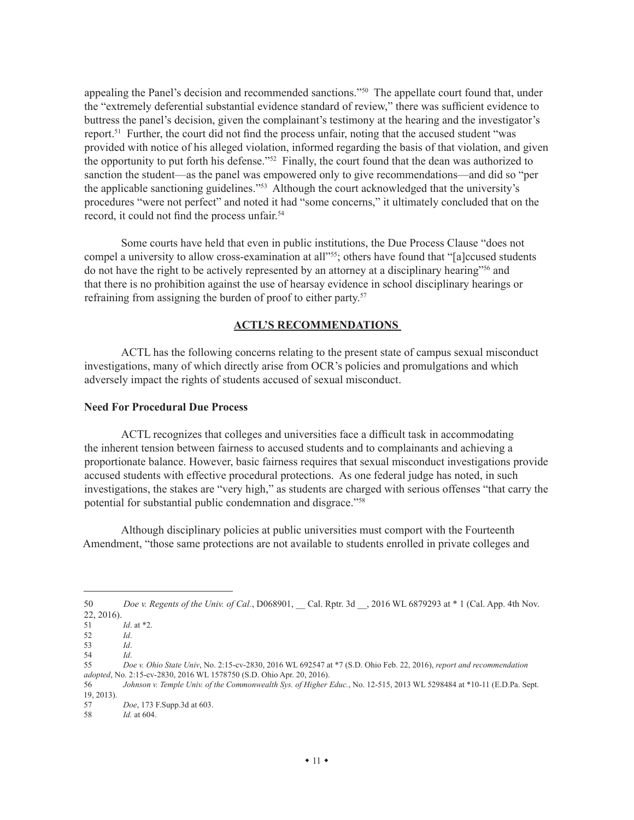appealing the Panel's decision and recommended sanctions."50 The appellate court found that, under the "extremely deferential substantial evidence standard of review," there was sufficient evidence to buttress the panel's decision, given the complainant's testimony at the hearing and the investigator's report.<sup>51</sup> Further, the court did not find the process unfair, noting that the accused student "was provided with notice of his alleged violation, informed regarding the basis of that violation, and given the opportunity to put forth his defense."52 Finally, the court found that the dean was authorized to sanction the student—as the panel was empowered only to give recommendations—and did so "per the applicable sanctioning guidelines."53 Although the court acknowledged that the university's procedures "were not perfect" and noted it had "some concerns," it ultimately concluded that on the record, it could not find the process unfair.<sup>54</sup>

Some courts have held that even in public institutions, the Due Process Clause "does not compel a university to allow cross-examination at all<sup>255</sup>; others have found that "[a]ccused students do not have the right to be actively represented by an attorney at a disciplinary hearing"56 and that there is no prohibition against the use of hearsay evidence in school disciplinary hearings or refraining from assigning the burden of proof to either party.<sup>57</sup>

#### **ACTL'S RECOMMENDATIONS**

ACTL has the following concerns relating to the present state of campus sexual misconduct investigations, many of which directly arise from OCR's policies and promulgations and which adversely impact the rights of students accused of sexual misconduct.

#### **Need For Procedural Due Process**

ACTL recognizes that colleges and universities face a difficult task in accommodating the inherent tension between fairness to accused students and to complainants and achieving a proportionate balance. However, basic fairness requires that sexual misconduct investigations provide accused students with effective procedural protections. As one federal judge has noted, in such investigations, the stakes are "very high," as students are charged with serious offenses "that carry the potential for substantial public condemnation and disgrace."58

Although disciplinary policies at public universities must comport with the Fourteenth Amendment, "those same protections are not available to students enrolled in private colleges and

<sup>50</sup> *Doe v. Regents of the Univ. of Cal.*, D068901, \_\_ Cal. Rptr. 3d \_\_, 2016 WL 6879293 at \* 1 (Cal. App. 4th Nov. 22, 2016).

<sup>51</sup> *Id*. at \*2.

<sup>52</sup> *Id*.

<sup>53</sup> *Id*.

<sup>54</sup> *Id*.

<sup>55</sup> *Doe v. Ohio State Univ*, No. 2:15-cv-2830, 2016 WL 692547 at \*7 (S.D. Ohio Feb. 22, 2016), *report and recommendation adopted*, No. 2:15-cv-2830, 2016 WL 1578750 (S.D. Ohio Apr. 20, 2016).

<sup>56</sup> *Johnson v. Temple Univ. of the Commonwealth Sys. of Higher Educ.*, No. 12-515, 2013 WL 5298484 at \*10-11 ([E.D.Pa.](E.D.Pa) Sept. 19, 2013).

<sup>57</sup> *Doe*, 173 [F.Supp.](F.Supp)3d at 603.

<sup>58</sup> *Id.* at 604.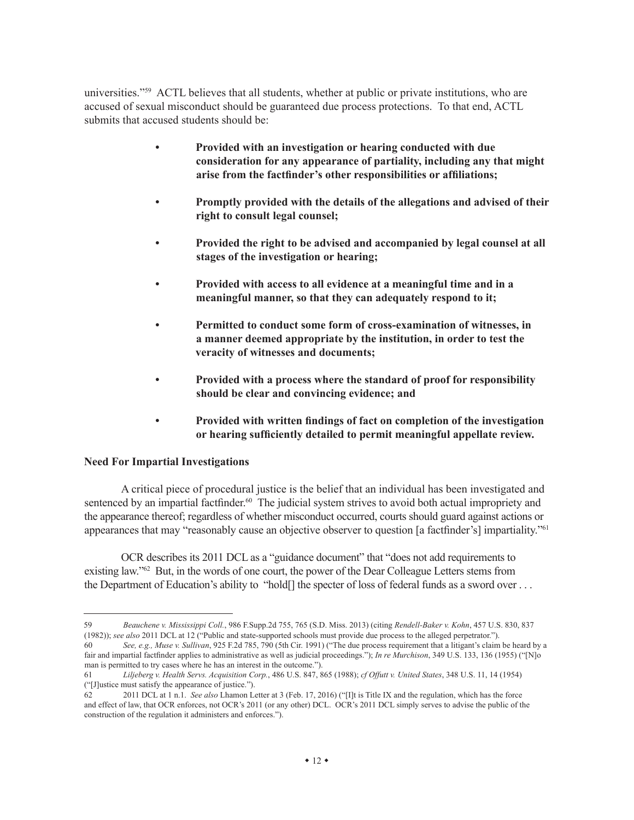universities."59 ACTL believes that all students, whether at public or private institutions, who are accused of sexual misconduct should be guaranteed due process protections. To that end, ACTL submits that accused students should be:

- **• Provided with an investigation or hearing conducted with due consideration for any appearance of partiality, including any that might arise from the factfinder's other responsibilities or affiliations;**
- **• Promptly provided with the details of the allegations and advised of their right to consult legal counsel;**
- **• Provided the right to be advised and accompanied by legal counsel at all stages of the investigation or hearing;**
- **• Provided with access to all evidence at a meaningful time and in a meaningful manner, so that they can adequately respond to it;**
- **• Permitted to conduct some form of cross-examination of witnesses, in a manner deemed appropriate by the institution, in order to test the veracity of witnesses and documents;**
- **• Provided with a process where the standard of proof for responsibility should be clear and convincing evidence; and**
- **• Provided with written findings of fact on completion of the investigation or hearing sufficiently detailed to permit meaningful appellate review.**

#### **Need For Impartial Investigations**

A critical piece of procedural justice is the belief that an individual has been investigated and sentenced by an impartial factfinder.<sup>60</sup> The judicial system strives to avoid both actual impropriety and the appearance thereof; regardless of whether misconduct occurred, courts should guard against actions or appearances that may "reasonably cause an objective observer to question [a factfinder's] impartiality."<sup>61</sup>

OCR describes its 2011 DCL as a "guidance document" that "does not add requirements to existing law."<sup>62</sup> But, in the words of one court, the power of the Dear Colleague Letters stems from the Department of Education's ability to "hold[] the specter of loss of federal funds as a sword over . . .

<sup>59</sup> *Beauchene v. Mississippi Coll.*, 986 <F.Supp>.2d 755, 765 (S.D. Miss. 2013) (citing *Rendell-Baker v. Kohn*, 457 U.S. 830, 837 (1982)); *see also* 2011 DCL at 12 ("Public and state-supported schools must provide due process to the alleged perpetrator.").

<sup>60</sup> *See, e.g., Muse v. Sullivan*, 925 F.2d 785, 790 (5th Cir. 1991) ("The due process requirement that a litigant's claim be heard by a fair and impartial factfinder applies to administrative as well as judicial proceedings."); *In re Murchison*, 349 U.S. 133, 136 (1955) ("[N]o man is permitted to try cases where he has an interest in the outcome.").

<sup>61</sup> *Liljeberg v. Health Servs. Acquisition Corp.*, 486 U.S. 847, 865 (1988); *cf Offutt v. United States*, 348 U.S. 11, 14 (1954) ("[J]ustice must satisfy the appearance of justice.").<br>62 2011 DCL at 1 n 1. See also I hamon L

<sup>62 2011</sup> DCL at 1 n.1. *See also* Lhamon Letter at 3 (Feb. 17, 2016) ("[I]t is Title IX and the regulation, which has the force and effect of law, that OCR enforces, not OCR's 2011 (or any other) DCL. OCR's 2011 DCL simply serves to advise the public of the construction of the regulation it administers and enforces.").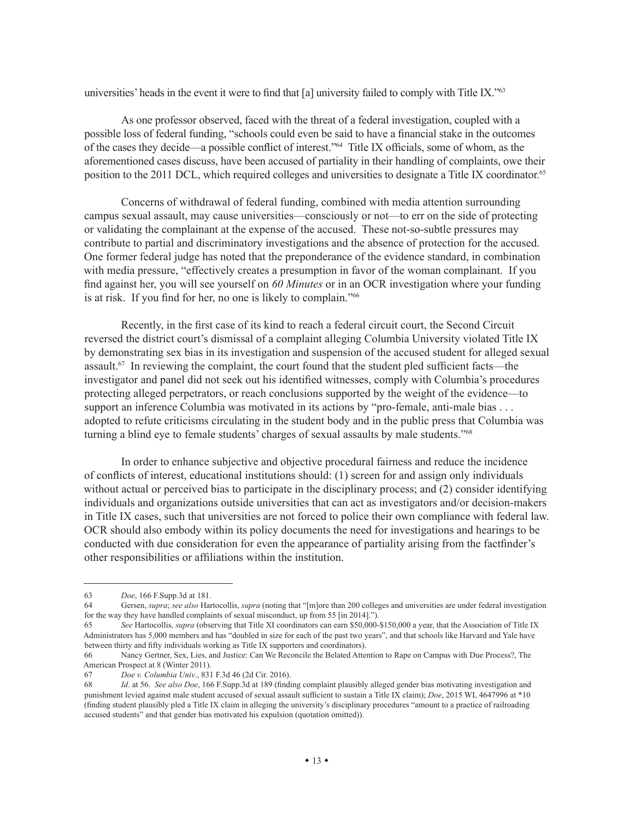universities' heads in the event it were to find that [a] university failed to comply with Title IX."<sup>63</sup>

As one professor observed, faced with the threat of a federal investigation, coupled with a possible loss of federal funding, "schools could even be said to have a financial stake in the outcomes of the cases they decide—a possible conflict of interest."<sup>64</sup> Title IX officials, some of whom, as the aforementioned cases discuss, have been accused of partiality in their handling of complaints, owe their position to the 2011 DCL, which required colleges and universities to designate a Title IX coordinator.<sup>65</sup>

Concerns of withdrawal of federal funding, combined with media attention surrounding campus sexual assault, may cause universities—consciously or not—to err on the side of protecting or validating the complainant at the expense of the accused. These not-so-subtle pressures may contribute to partial and discriminatory investigations and the absence of protection for the accused. One former federal judge has noted that the preponderance of the evidence standard, in combination with media pressure, "effectively creates a presumption in favor of the woman complainant. If you find against her, you will see yourself on *60 Minutes* or in an OCR investigation where your funding is at risk. If you find for her, no one is likely to complain."66

Recently, in the first case of its kind to reach a federal circuit court, the Second Circuit reversed the district court's dismissal of a complaint alleging Columbia University violated Title IX by demonstrating sex bias in its investigation and suspension of the accused student for alleged sexual assault.67 In reviewing the complaint, the court found that the student pled sufficient facts—the investigator and panel did not seek out his identified witnesses, comply with Columbia's procedures protecting alleged perpetrators, or reach conclusions supported by the weight of the evidence—to support an inference Columbia was motivated in its actions by "pro-female, anti-male bias . . . adopted to refute criticisms circulating in the student body and in the public press that Columbia was turning a blind eye to female students' charges of sexual assaults by male students."68

In order to enhance subjective and objective procedural fairness and reduce the incidence of conflicts of interest, educational institutions should: (1) screen for and assign only individuals without actual or perceived bias to participate in the disciplinary process; and (2) consider identifying individuals and organizations outside universities that can act as investigators and/or decision-makers in Title IX cases, such that universities are not forced to police their own compliance with federal law. OCR should also embody within its policy documents the need for investigations and hearings to be conducted with due consideration for even the appearance of partiality arising from the factfinder's other responsibilities or affiliations within the institution.

<sup>63</sup> *Doe*, 166 [F.Supp.](F.Supp)3d at 181.

<sup>64</sup> Gersen, *supra*; *see also* Hartocollis, *supra* (noting that "[m]ore than 200 colleges and universities are under federal investigation for the way they have handled complaints of sexual misconduct, up from 55 [in 2014].").

<sup>65</sup> *See* Hartocollis, *supra* (observing that Title XI coordinators can earn \$50,000-\$150,000 a year, that the Association of Title IX Administrators has 5,000 members and has "doubled in size for each of the past two years", and that schools like Harvard and Yale have between thirty and fifty individuals working as Title IX supporters and coordinators).

<sup>66</sup> Nancy Gertner, Sex, Lies, and Justice: Can We Reconcile the Belated Attention to Rape on Campus with Due Process?, The American Prospect at 8 (Winter 2011).

<sup>67</sup> *Doe v. Columbia Univ*., 831 F.3d 46 (2d Cir. 2016).

<sup>68</sup> *Id*. at 56. *See also Doe*, 166<F.Supp>.3d at 189 (finding complaint plausibly alleged gender bias motivating investigation and punishment levied against male student accused of sexual assault sufficient to sustain a Title IX claim); *Doe*, 2015 WL 4647996 at \*10 (finding student plausibly pled a Title IX claim in alleging the university's disciplinary procedures "amount to a practice of railroading accused students" and that gender bias motivated his expulsion (quotation omitted)).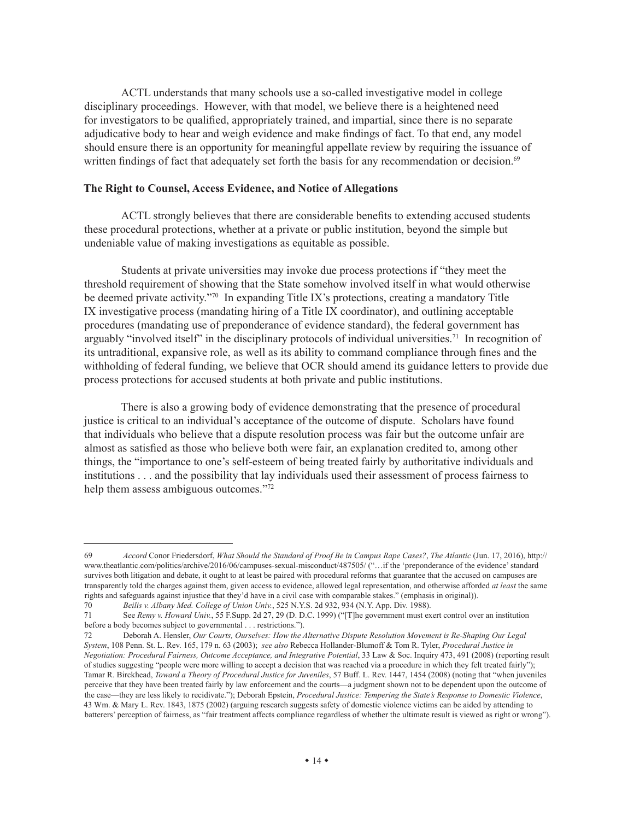ACTL understands that many schools use a so-called investigative model in college disciplinary proceedings. However, with that model, we believe there is a heightened need for investigators to be qualified, appropriately trained, and impartial, since there is no separate adjudicative body to hear and weigh evidence and make findings of fact. To that end, any model should ensure there is an opportunity for meaningful appellate review by requiring the issuance of written findings of fact that adequately set forth the basis for any recommendation or decision.<sup>69</sup>

#### **The Right to Counsel, Access Evidence, and Notice of Allegations**

ACTL strongly believes that there are considerable benefits to extending accused students these procedural protections, whether at a private or public institution, beyond the simple but undeniable value of making investigations as equitable as possible.

Students at private universities may invoke due process protections if "they meet the threshold requirement of showing that the State somehow involved itself in what would otherwise be deemed private activity."<sup>70</sup> In expanding Title IX's protections, creating a mandatory Title IX investigative process (mandating hiring of a Title IX coordinator), and outlining acceptable procedures (mandating use of preponderance of evidence standard), the federal government has arguably "involved itself" in the disciplinary protocols of individual universities.<sup>71</sup> In recognition of its untraditional, expansive role, as well as its ability to command compliance through fines and the withholding of federal funding, we believe that OCR should amend its guidance letters to provide due process protections for accused students at both private and public institutions.

There is also a growing body of evidence demonstrating that the presence of procedural justice is critical to an individual's acceptance of the outcome of dispute. Scholars have found that individuals who believe that a dispute resolution process was fair but the outcome unfair are almost as satisfied as those who believe both were fair, an explanation credited to, among other things, the "importance to one's self-esteem of being treated fairly by authoritative individuals and institutions . . . and the possibility that lay individuals used their assessment of process fairness to help them assess ambiguous outcomes."<sup>72</sup>

<sup>69</sup> *Accord* Conor Friedersdorf, *What Should the Standard of Proof Be in Campus Rape Cases?*, *The Atlantic* (Jun. 17, 2016), [http://](http://www.theatlantic.com/politics/archive/2016/06/campuses-sexual-misconduct/487505) [www.theatlantic.com/politics/archive/2016/06/campuses-sexual-misconduct/487505](http://www.theatlantic.com/politics/archive/2016/06/campuses-sexual-misconduct/487505)/ ("…if the 'preponderance of the evidence' standard survives both litigation and debate, it ought to at least be paired with procedural reforms that guarantee that the accused on campuses are transparently told the charges against them, given access to evidence, allowed legal representation, and otherwise afforded *at least* the same rights and safeguards against injustice that they'd have in a civil case with comparable stakes." (emphasis in original)).

<sup>70</sup> *Beilis v. Albany Med. College of Union Univ.*, 525 N.Y.S. 2d 932, 934 (N.Y. App. Div. 1988).

<sup>71</sup> See *Remy v. Howard Univ.*, 55<F.Supp>. 2d 27, 29 (D. D.C. 1999) ("[T]he government must exert control over an institution before a body becomes subject to governmental . . . restrictions.").

<sup>72</sup> Deborah A. Hensler, *Our Courts, Ourselves: How the Alternative Dispute Resolution Movement is Re-Shaping Our Legal System*, 108 Penn. St. L. Rev. 165, 179 n. 63 (2003); *see also* Rebecca Hollander-Blumoff & Tom R. Tyler, *Procedural Justice in Negotiation: Procedural Fairness, Outcome Acceptance, and Integrative Potential*, 33 Law & Soc. Inquiry 473, 491 (2008) (reporting result of studies suggesting "people were more willing to accept a decision that was reached via a procedure in which they felt treated fairly"); Tamar R. Birckhead, *Toward a Theory of Procedural Justice for Juveniles*, 57 Buff. L. Rev. 1447, 1454 (2008) (noting that "when juveniles perceive that they have been treated fairly by law enforcement and the courts—a judgment shown not to be dependent upon the outcome of the case—they are less likely to recidivate."); Deborah Epstein, *Procedural Justice: Tempering the State's Response to Domestic Violence*, 43 Wm. & Mary L. Rev. 1843, 1875 (2002) (arguing research suggests safety of domestic violence victims can be aided by attending to batterers' perception of fairness, as "fair treatment affects compliance regardless of whether the ultimate result is viewed as right or wrong").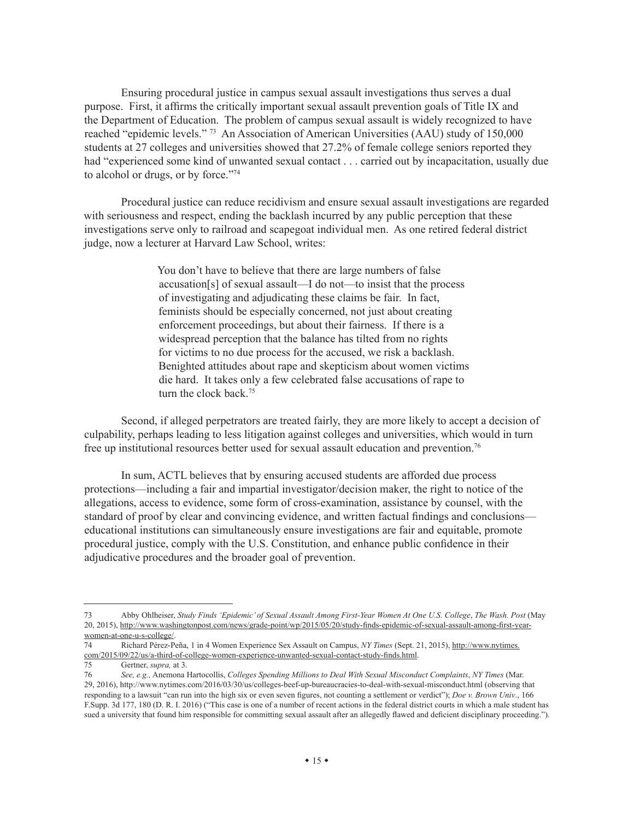Ensuring procedural justice in campus sexual assault investigations thus serves a dual purpose. First, it affirms the critically important sexual assault prevention goals of Title IX and the Department of Education. The problem of campus sexual assault is widely recognized to have reached "epidemic levels." 73 An Association of American Universities (AAU) study of 150,000 students at 27 colleges and universities showed that 27.2% of female college seniors reported they had "experienced some kind of unwanted sexual contact . . . carried out by incapacitation, usually due to alcohol or drugs, or by force."74

Procedural justice can reduce recidivism and ensure sexual assault investigations are regarded with seriousness and respect, ending the backlash incurred by any public perception that these investigations serve only to railroad and scapegoat individual men. As one retired federal district judge, now a lecturer at Harvard Law School, writes:

> You don't have to believe that there are large numbers of false accusation[s] of sexual assault—I do not—to insist that the process of investigating and adjudicating these claims be fair. In fact, feminists should be especially concerned, not just about creating enforcement proceedings, but about their fairness. If there is a widespread perception that the balance has tilted from no rights for victims to no due process for the accused, we risk a backlash. Benighted attitudes about rape and skepticism about women victims die hard. It takes only a few celebrated false accusations of rape to turn the clock back.<sup>75</sup>

Second, if alleged perpetrators are treated fairly, they are more likely to accept a decision of culpability, perhaps leading to less litigation against colleges and universities, which would in turn free up institutional resources better used for sexual assault education and prevention.76

In sum, ACTL believes that by ensuring accused students are afforded due process protections—including a fair and impartial investigator/decision maker, the right to notice of the allegations, access to evidence, some form of cross-examination, assistance by counsel, with the standard of proof by clear and convincing evidence, and written factual findings and conclusions educational institutions can simultaneously ensure investigations are fair and equitable, promote procedural justice, comply with the U.S. Constitution, and enhance public confidence in their adjudicative procedures and the broader goal of prevention.

<sup>73</sup> Abby Ohlheiser, *Study Finds 'Epidemic' of Sexual Assault Among First-Year Women At One U.S. College*, *The Wash. Post* (May 20, 2015), [http://www.washingtonpost.com/news/grade-point/wp/2015/05/20/study-finds-epidemic-of-sexual-assault-among-first-year](http://www.washingtonpost.com/news/grade-point/wp/2015/05/20/study-finds-epidemic-of-sexual-assault-among-first-year-women-at-one-u-s-college/)[women-at-one-u-s-college/.](http://www.washingtonpost.com/news/grade-point/wp/2015/05/20/study-finds-epidemic-of-sexual-assault-among-first-year-women-at-one-u-s-college/)

<sup>74</sup> Richard Pérez-Peña, 1 in 4 Women Experience Sex Assault on Campus, *NY Times* (Sept. 21, 2015), [http://www.nytimes.](http://www.nytimes.com/2015/09/22/us/a-third-of-college-women-experience-unwanted-sexual-contact-study-finds.html) [com/2015/09/22/us/a-third-of-college-women-experience-unwanted-sexual-contact-study-finds.html](http://www.nytimes.com/2015/09/22/us/a-third-of-college-women-experience-unwanted-sexual-contact-study-finds.html).

Gertner, *supra*, at 3.

<sup>76</sup> *See, e.g.,* Anemona Hartocollis, *Colleges Spending Millions to Deal With Sexual Misconduct Complaints*, *NY Times* (Mar. 29, 2016),<http://www.nytimes.com/2016/03/30/us/colleges-beef-up-bureaucracies-to-deal-with-sexual-misconduct.html> (observing that responding to a lawsuit "can run into the high six or even seven figures, not counting a settlement or verdict"); *Doe v. Brown Univ*., 166 [F.Supp.](F.Supp) 3d 177, 180 (D. R. I. 2016) ("This case is one of a number of recent actions in the federal district courts in which a male student has sued a university that found him responsible for committing sexual assault after an allegedly flawed and deficient disciplinary proceeding.").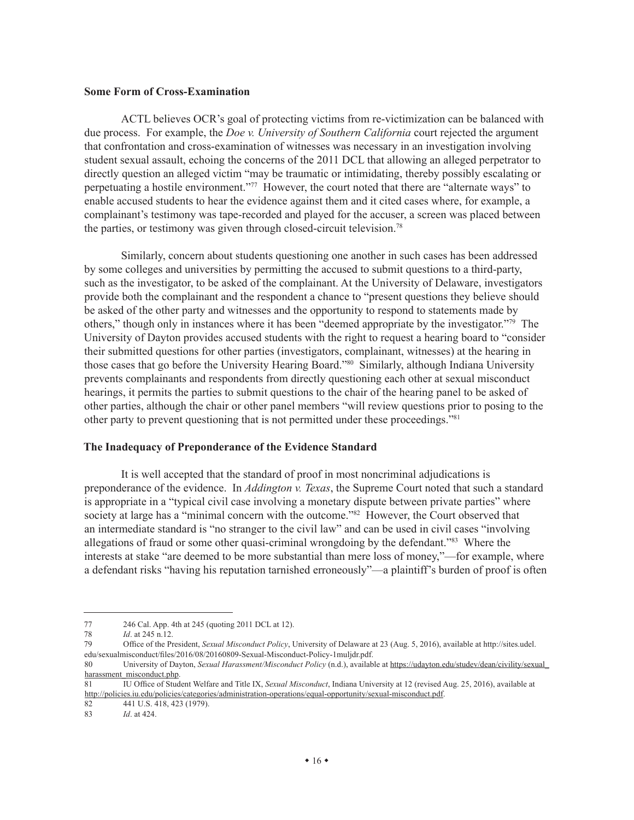#### **Some Form of Cross-Examination**

ACTL believes OCR's goal of protecting victims from re-victimization can be balanced with due process. For example, the *Doe v. University of Southern California* court rejected the argument that confrontation and cross-examination of witnesses was necessary in an investigation involving student sexual assault, echoing the concerns of the 2011 DCL that allowing an alleged perpetrator to directly question an alleged victim "may be traumatic or intimidating, thereby possibly escalating or perpetuating a hostile environment."77 However, the court noted that there are "alternate ways" to enable accused students to hear the evidence against them and it cited cases where, for example, a complainant's testimony was tape-recorded and played for the accuser, a screen was placed between the parties, or testimony was given through closed-circuit television.78

Similarly, concern about students questioning one another in such cases has been addressed by some colleges and universities by permitting the accused to submit questions to a third-party, such as the investigator, to be asked of the complainant. At the University of Delaware, investigators provide both the complainant and the respondent a chance to "present questions they believe should be asked of the other party and witnesses and the opportunity to respond to statements made by others," though only in instances where it has been "deemed appropriate by the investigator."79 The University of Dayton provides accused students with the right to request a hearing board to "consider their submitted questions for other parties (investigators, complainant, witnesses) at the hearing in those cases that go before the University Hearing Board."80 Similarly, although Indiana University prevents complainants and respondents from directly questioning each other at sexual misconduct hearings, it permits the parties to submit questions to the chair of the hearing panel to be asked of other parties, although the chair or other panel members "will review questions prior to posing to the other party to prevent questioning that is not permitted under these proceedings."81

#### **The Inadequacy of Preponderance of the Evidence Standard**

It is well accepted that the standard of proof in most noncriminal adjudications is preponderance of the evidence. In *Addington v. Texas*, the Supreme Court noted that such a standard is appropriate in a "typical civil case involving a monetary dispute between private parties" where society at large has a "minimal concern with the outcome."<sup>82</sup> However, the Court observed that an intermediate standard is "no stranger to the civil law" and can be used in civil cases "involving allegations of fraud or some other quasi-criminal wrongdoing by the defendant."83 Where the interests at stake "are deemed to be more substantial than mere loss of money,"—for example, where a defendant risks "having his reputation tarnished erroneously"—a plaintiff's burden of proof is often

<sup>77 246</sup> Cal. App. 4th at 245 (quoting 2011 DCL at 12).

<sup>78</sup> *Id*. at 245 n.12.

<sup>79</sup> Office of the President, *Sexual Misconduct Policy*, University of Delaware at 23 (Aug. 5, 2016), available at [http://sites.udel.](http://sites.udel.edu/sexualmisconduct/files/2016/08/20160809-Sexual-Misconduct-Policy-1muljdr.pdf) [edu/sexualmisconduct/files/2016/08/20160809-Sexual-Misconduct-Policy-1muljdr.pdf.](http://sites.udel.edu/sexualmisconduct/files/2016/08/20160809-Sexual-Misconduct-Policy-1muljdr.pdf)

<sup>80</sup> University of Dayton, *Sexual Harassment/Misconduct Policy* (n.d.), available at [https://udayton.edu/studev/dean/civility/sexual\\_](https://udayton.edu/studev/dean/civility/sexual_harassment_misconduct.php) [harassment\\_misconduct.php.](https://udayton.edu/studev/dean/civility/sexual_harassment_misconduct.php)

<sup>81</sup> IU Office of Student Welfare and Title IX, *Sexual Misconduct*, Indiana University at 12 (revised Aug. 25, 2016), available at <http://policies.iu.edu/policies/categories/administration-operations/equal-opportunity/sexual-misconduct.pdf>.

<sup>82 441</sup> U.S. 418, 423 (1979).

<sup>83</sup> *Id*. at 424.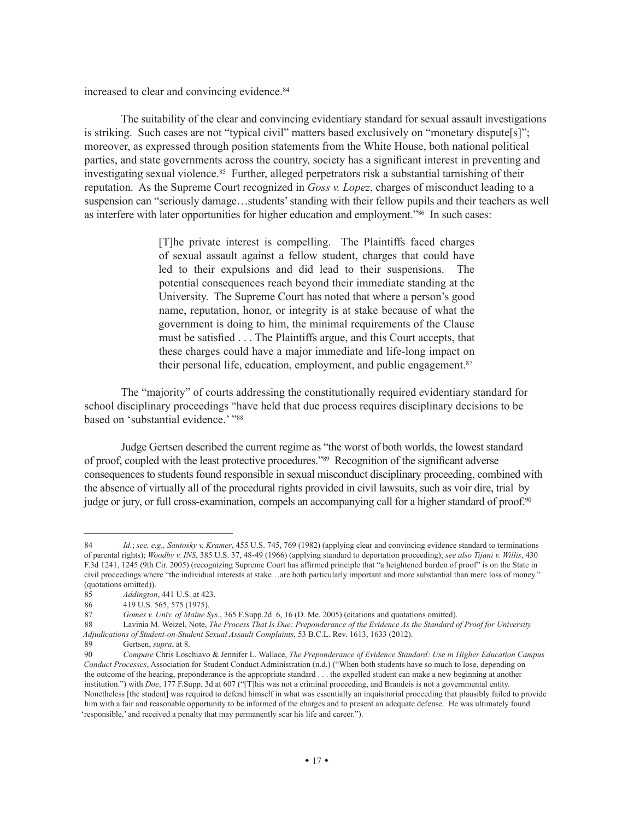increased to clear and convincing evidence.<sup>84</sup>

The suitability of the clear and convincing evidentiary standard for sexual assault investigations is striking. Such cases are not "typical civil" matters based exclusively on "monetary dispute[s]"; moreover, as expressed through position statements from the White House, both national political parties, and state governments across the country, society has a significant interest in preventing and investigating sexual violence.<sup>85</sup> Further, alleged perpetrators risk a substantial tarnishing of their reputation. As the Supreme Court recognized in *Goss v. Lopez*, charges of misconduct leading to a suspension can "seriously damage…students' standing with their fellow pupils and their teachers as well as interfere with later opportunities for higher education and employment."<sup>86</sup> In such cases:

> [T]he private interest is compelling. The Plaintiffs faced charges of sexual assault against a fellow student, charges that could have led to their expulsions and did lead to their suspensions. The potential consequences reach beyond their immediate standing at the University. The Supreme Court has noted that where a person's good name, reputation, honor, or integrity is at stake because of what the government is doing to him, the minimal requirements of the Clause must be satisfied . . . The Plaintiffs argue, and this Court accepts, that these charges could have a major immediate and life-long impact on their personal life, education, employment, and public engagement.87

The "majority" of courts addressing the constitutionally required evidentiary standard for school disciplinary proceedings "have held that due process requires disciplinary decisions to be based on 'substantial evidence.' "88

Judge Gertsen described the current regime as "the worst of both worlds, the lowest standard of proof, coupled with the least protective procedures."89 Recognition of the significant adverse consequences to students found responsible in sexual misconduct disciplinary proceeding, combined with the absence of virtually all of the procedural rights provided in civil lawsuits, such as voir dire, trial by judge or jury, or full cross-examination, compels an accompanying call for a higher standard of proof.90

<sup>84</sup> *Id.*; *see, e.g., Santosky v. Kramer*, 455 U.S. 745, 769 (1982) (applying clear and convincing evidence standard to terminations of parental rights); *Woodby v. INS*, 385 U.S. 37, 48-49 (1966) (applying standard to deportation proceeding); *see also Tijani v. Willis*, 430 F.3d 1241, 1245 (9th Cir. 2005) (recognizing Supreme Court has affirmed principle that "a heightened burden of proof" is on the State in civil proceedings where "the individual interests at stake…are both particularly important and more substantial than mere loss of money." (quotations omitted)).

<sup>85</sup> *Addington*, 441 U.S. at 423.

<sup>86 419</sup> U.S. 565, 575 (1975).

<sup>87</sup> *Gomes v. Univ. of Maine Sys.*, 365 [F.Supp.](F.Supp)2d 6, 16 (D. Me. 2005) (citations and quotations omitted).

<sup>88</sup> Lavinia M. Weizel, Note, *The Process That Is Due: Preponderance of the Evidence As the Standard of Proof for University Adjudications of Student-on-Student Sexual Assault Complaints*, 53 B.C.L. Rev. 1613, 1633 (2012).

<sup>89</sup> Gertsen, *supra*, at 8. 90 *Compare* Chris Loschiavo & Jennifer L. Wallace, *The Preponderance of Evidence Standard: Use in Higher Education Campus Conduct Processes*, Association for Student Conduct Administration (n.d.) ("When both students have so much to lose, depending on the outcome of the hearing, preponderance is the appropriate standard . . . the expelled student can make a new beginning at another institution.") with *Doe*, 177 [F.Supp.](F.Supp) 3d at 607 ("[T]his was not a criminal proceeding, and Brandeis is not a governmental entity. Nonetheless [the student] was required to defend himself in what was essentially an inquisitorial proceeding that plausibly failed to provide him with a fair and reasonable opportunity to be informed of the charges and to present an adequate defense. He was ultimately found 'responsible,' and received a penalty that may permanently scar his life and career.").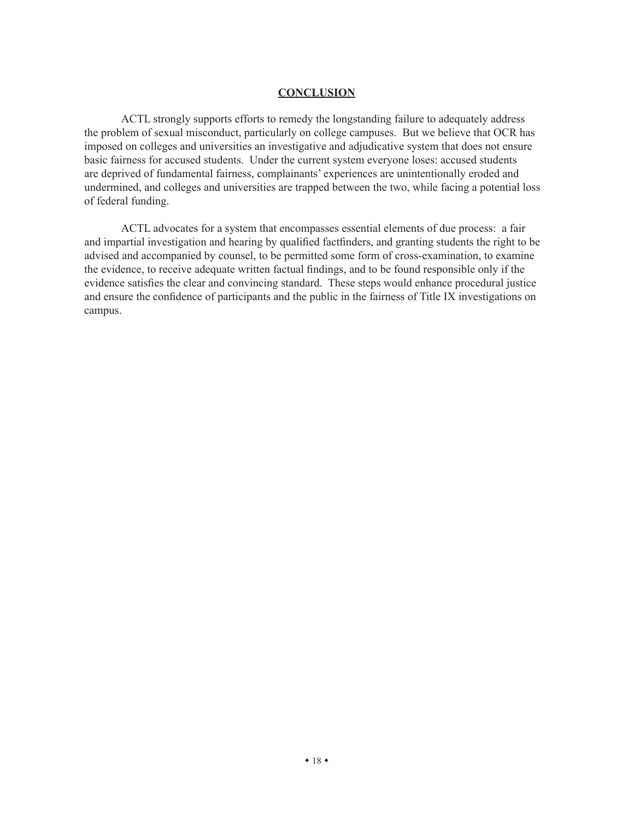#### **CONCLUSION**

ACTL strongly supports efforts to remedy the longstanding failure to adequately address the problem of sexual misconduct, particularly on college campuses. But we believe that OCR has imposed on colleges and universities an investigative and adjudicative system that does not ensure basic fairness for accused students. Under the current system everyone loses: accused students are deprived of fundamental fairness, complainants' experiences are unintentionally eroded and undermined, and colleges and universities are trapped between the two, while facing a potential loss of federal funding.

ACTL advocates for a system that encompasses essential elements of due process: a fair and impartial investigation and hearing by qualified factfinders, and granting students the right to be advised and accompanied by counsel, to be permitted some form of cross-examination, to examine the evidence, to receive adequate written factual findings, and to be found responsible only if the evidence satisfies the clear and convincing standard. These steps would enhance procedural justice and ensure the confidence of participants and the public in the fairness of Title IX investigations on campus.